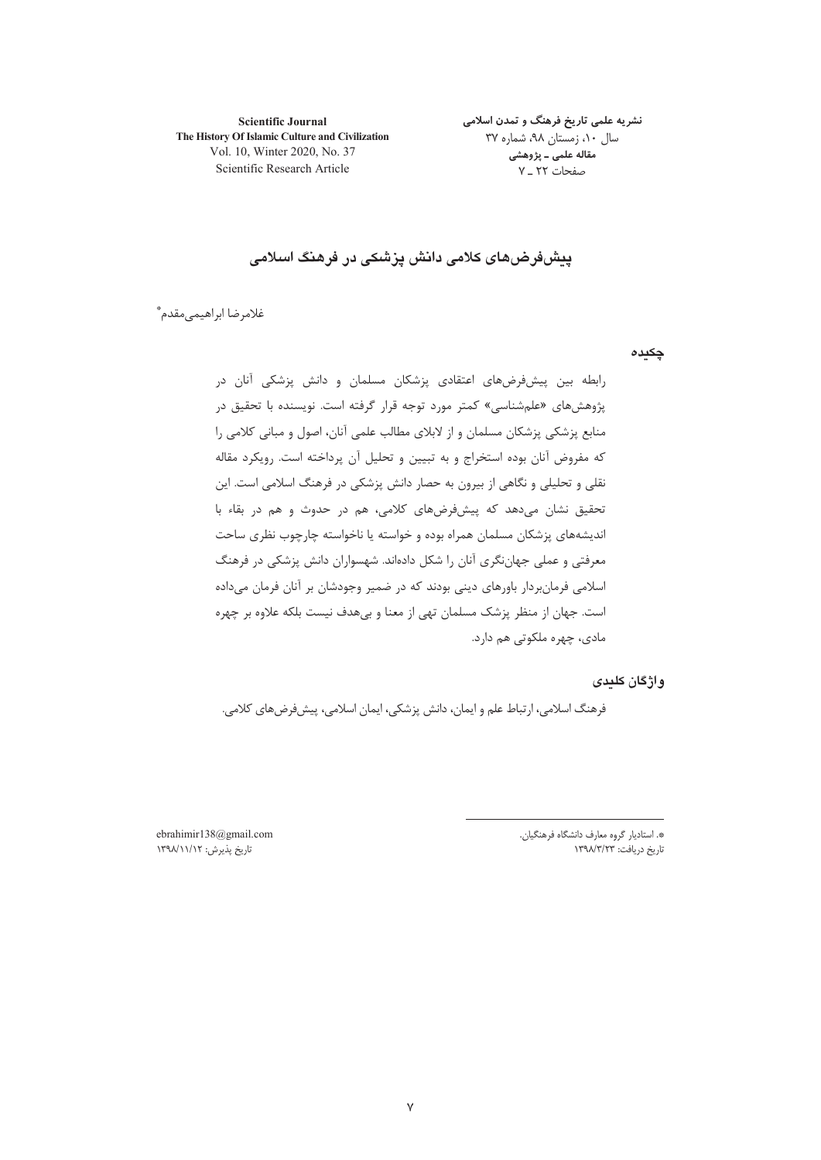**Scientific Journal** The History Of Islamic Culture and Civilization Vol. 10, Winter 2020, No. 37 Scientific Research Article

نشریه علمی تاریخ فرهنگ و تمدن اسلامی سال ۱۰، زمستان ۹۸، شماره ۳۷ مقاله علمی ـ پژوهشی صفحات ٢٢ ـ ٧

# يىشفررضهاى كلامى دانش يزشكى در فرهنگ اسلامى

غلامرضا ابراهيمي مقدم\*ّ

چکیدہ

رابطه بین پیشفرضهای اعتقادی پزشکان مسلمان و دانش پزشکی آنان در پژوهشهای «علمشناسی» کمتر مورد توجه قرار گرفته است. نویسنده با تحقیق در منابع پزشکی پزشکان مسلمان و از لابلای مطالب علمی آنان، اصول و مبانی کلامی را که مفروض آنان بوده استخراج و به تبیین و تحلیل آن پرداخته است. رویکرد مقاله نقلی و تحلیلی و نگاهی از بیرون به حصار دانش پزشکی در فرهنگ اسلامی است. این تحقیق نشان مے،دھد که پیشءُرضهای کلامی، هم در حدوث و هم در بقاء با اندیشههای پزشکان مسلمان همراه بوده و خواسته یا ناخواسته چارچوب نظری ساحت معرفتی و عملی جهاننگری آنان را شکل دادهاند. شهسواران دانش پزشکی در فرهنگ اسلامی فرمانبردار باورهای دینی بودند که در ضمیر وجودشان بر آنان فرمان میداده است. جهان از منظر پزشک مسلمان تهی از معنا و بی هدف نیست بلکه علاوه بر چهره مادي، چهره ملکوتي هم دارد.

واژگان كليدى

فرهنگ اسلامي، ارتباط علم و ايمان، دانش پزشكي، ايمان اسلامي، پيشفرضهاي كلامي.

\*. استاديار گروه معارف دانشگاه فرهنگيان. تاریخ دریافت: ۱۳۹۸/۳/۲۳

ebrahimir138@gmail.com تاریخ پذیرش: ۱۳۹۸/۱۱/۱۲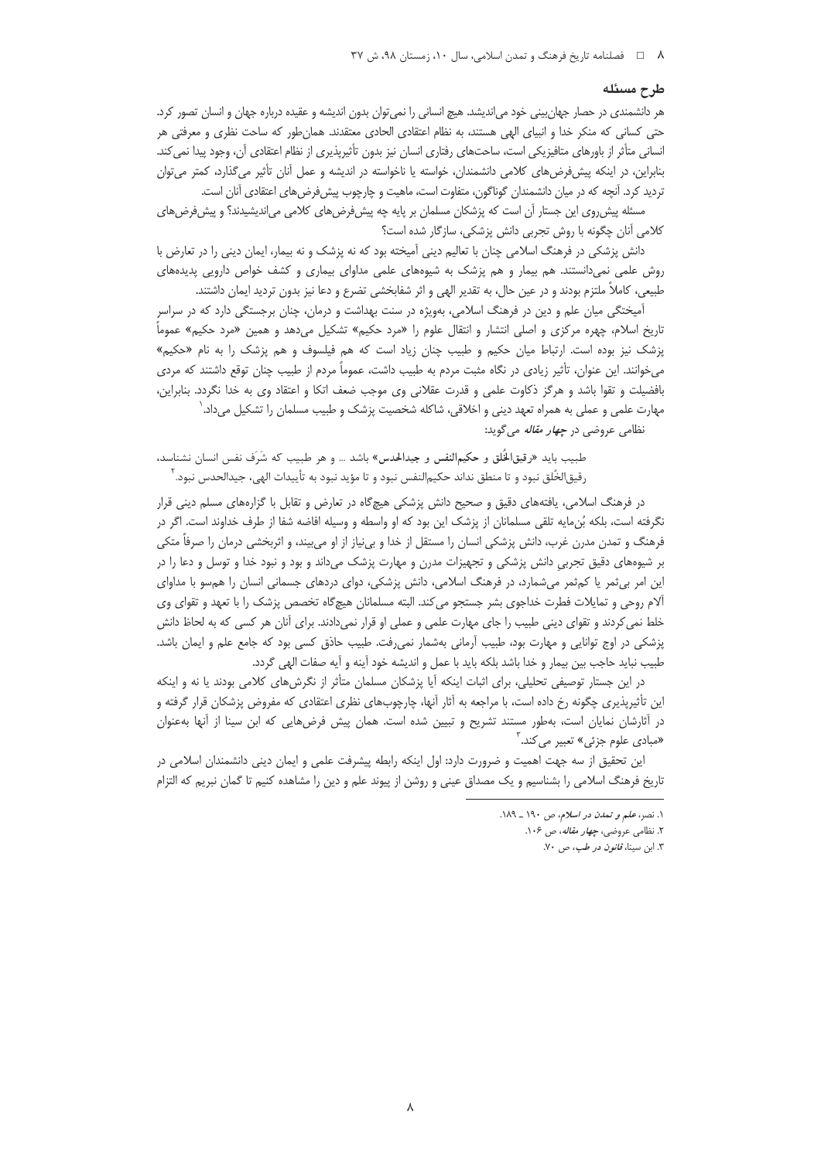### طرح مسئله

هر دانشمندی در حصار جهان بینی خود می|ندیشد. هیچ انسانی را نمی توان بدون اندیشه و عقیده درباره جهان و انسان تصور کرد. حتی کسانی که منکر خدا و انبیای الهی هستند، به نظام اعتقادی الحادی معتقدند. همانطور که ساحت نظری و معرفتی هر انسانی متأثر از باورهای متافیزیکی است، ساحتهای رفتاری انسان نیز بدون تأثیرپذیری از نظام اعتقادی آن، وجود پیدا نمی کند. بنابراین، در اینکه پیشفرضهای کلامی دانشمندان، خواسته یا ناخواسته در اندیشه و عمل آنان تأثیر میگذارد، کمتر میتوان تردید کرد. آنچه که در میان دانشمندان گوناگون، متفاوت است، ماهیت و چارچوب پیش فرض های اعتقادی آنان است.

مسئله پیش روی این جستار آن است که پزشکان مسلمان بر پایه چه پیشفرضهای کلامی می|ندیشیدند؟ و پیشفرضهای كلامي آنان چگونه با روش تجربي دانش پزشكي، سازگار شده است؟

دانش پزشکی در فرهنگ اسلامی چنان با تعالیم دینی آمیخته بود که نه پزشک و نه بیمار، ایمان دینی را در تعارض با روش علمی نمیدانستند. هم بیمار و هم پزشک به شیوههای علمی مداوای بیماری و کشف خواص دارویی پدیدههای طبیعی، کاملاً ملتزم بودند و در عین حال، به تقدیر الهی و اثر شفابخشی تضرع و دعا نیز بدون تردید ایمان داشتند.

آمیختگی میان علم و دین در فرهنگ اسلامی، بهویژه در سنت بهداشت و درمان، چنان برجستگی دارد که در سراسر تاريخ اسلام، چهره مركزي و اصلي انتشار و انتقال علوم را «مرد حكيم» تشكيل مي‹هد و همين «مرد حكيم» عموماً پزشک نیز بوده است. ارتباط میان حکیم و طبیب چنان زیاد است که هم فیلسوف و هم پزشک را به نام «حکیم» میخوانند. این عنوان، تأثیر زیادی در نگاه مثبت مردم به طبیب داشت، عموماً مردم از طبیب چنان توقع داشتند که مردی بافضیلت و تقوا باشد و هرگز ذکاوت علمی و قدرت عقلانی وی موجب ضعف اتکا و اعتقاد وی به خدا نگردد. بنابراین، مهارت علمی و عملی به همراه تعهد دینی و اخلاقی، شاکله شخصیت پزشک و طبیب مسلمان را تشکیل میداد. ٰ

نظامی عروضی در *چهار مقاله* می گوید:

طبيب بايد «رقيقالخُلق و حكيمالنفس و جيدالحدس» باشد … و هر طبيب كه شَرَف نفس انسان نشناسد، رقيق|لخُلق نبود و تا منطق نداند حكيم|لنفس نبود و تا مؤيد نبود به تأييدات الهي، جيدالحدس نبود. ``

در فرهنگ اسلامی، یافتههای دقیق و صحیح دانش پزشکی هیچگاه در تعارض و تقابل با گزارههای مسلم دینی قرار نگرفته است، بلكه بُنءايه تلقى مسلمانان از پزشک اين بود که او واسطه و وسيله افاضه شفا از طرف خداوند است. اگر در فرهنگ و تمدن مدرن غرب، دانش پزشکی انسان را مستقل از خدا و بیiیاز از او میبیند، و اثربخشی درمان را صرفاً متکی بر شیوههای دقیق تجربی دانش پزشکی و تجهیزات مدرن و مهارت پزشک میداند و بود و نبود خدا و توسل و دعا را در این امر بی ثمر یا کم ثمر می شمارد، در فرهنگ اسلامی، دانش پزشکی، دوای دردهای جسمانی انسان را همسو با مداوای ألام روحي و تمايلات فطرت خداجوي بشر جستجو مي كند. البته مسلمانان هيچ§اه تخصص پزشک را با تعهد و تقواي وي خلط نمی کردند و تقوای دینی طبیب را جای مهارت علمی و عملی او قرار نمیدادند. برای آنان هر کسی که به لحاظ دانش پزشکی در اوج توانایی و مهارت بود، طبیب آرمانی بهشمار نمی(فت. طبیب حاذق کسی بود که جامع علم و ایمان باشد. طبيب نبايد حاجب بين بيمار و خدا باشد بلكه بايد با عمل و انديشه خود آينه و آيه صفات الهي گردد.

در این جستار توصیفی تحلیلی، برای اثبات اینکه آیا پزشکان مسلمان متأثر از نگرشهای کلامی بودند یا نه و اینکه این تأثیرپذیری چگونه رخ داده است، با مراجعه به آثار آنها، چارچوبهای نظری اعتقادی که مفروض پزشکان قرار گرفته و در آثارشان نمایان است، بهطور مستند تشریح و تبیین شده است. همان پیش فرضهایی که ابن سینا از آنها بهعنوان «مبادی علوم جزئی» تعبیر می کند.<sup>۳</sup>

این تحقیق از سه جهت اهمیت و ضرورت دارد: اول اینکه رابطه پیشرفت علمی و ایمان دینی دانشمندان اسلامی در تاریخ فرهنگ اسلامی را بشناسیم و یک مصداق عینی و روشن از پیوند علم و دین را مشاهده کنیم تا گمان نبریم که التزام

١. نصر، علم و تمدن در اسلام، ص ١٩٠ ـ ١٨٩.

۲. نظامی عروضی، *چهار مقاله*، ص ۱۰۶.

۳. ابن سینا، *قانون در طب*، ص ۷۰.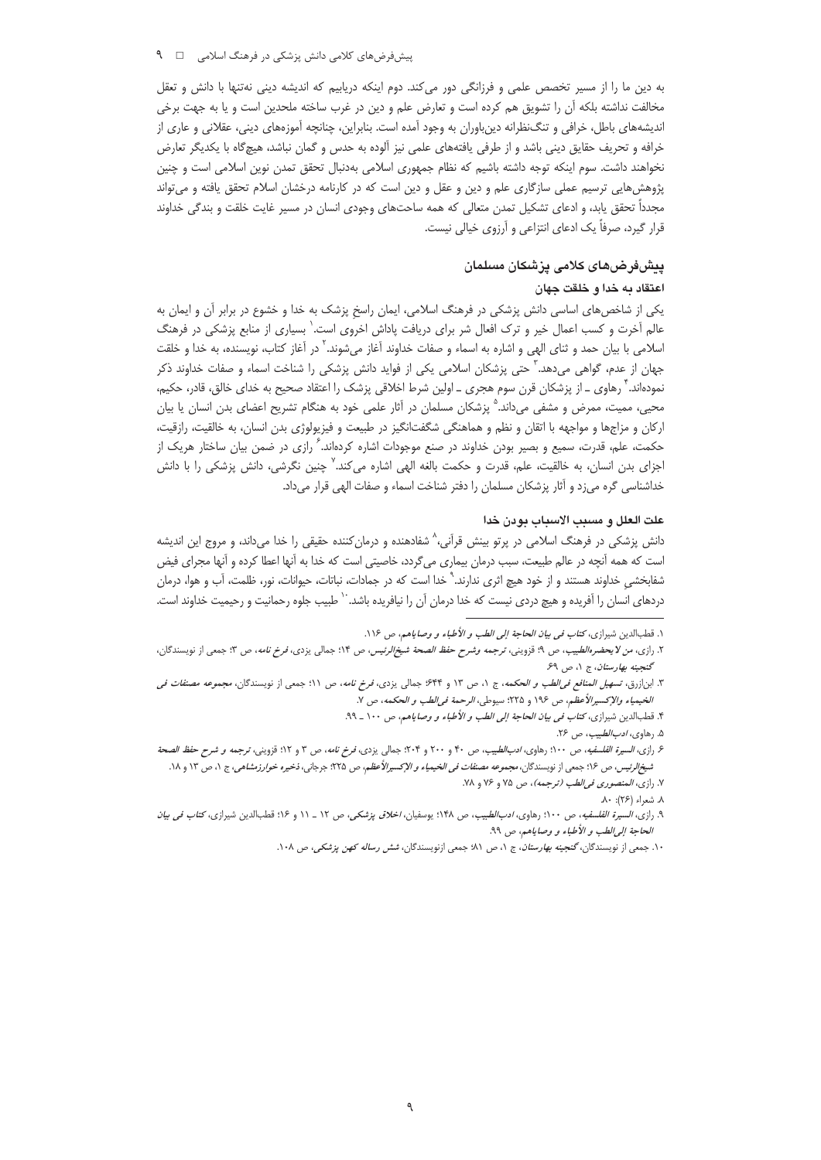به دین ما را از مسیر تخصص علمی و فرزانگی دور میکند. دوم اینکه دریابیم که اندیشه دینی نهتنها با دانش و تعقل مخالفت نداشته بلکه أن را تشویق هم کرده است و تعارض علم و دین در غرب ساخته ملحدین است و یا به جهت برخی اندیشههای باطل، خرافی و تنگنظرانه دینباوران به وجود آمده است. بنابراین، چنانچه آموزههای دینی، عقلانی و عاری از خرافه و تحریف حقایق دینی باشد و از طرفی یافتههای علمی نیز آلوده به حدس و گمان نباشد، هیچگاه با یکدیگر تعارض نخواهند داشت. سوم اينكه توجه داشته باشيم كه نظام جمهوري اسلامي بهدنبال تحقق تمدن نوين اسلامي است و چنين پژوهشهایی ترسیم عملی سازگاری علم و دین و عقل و دین است که در کارنامه درخشان اسلام تحقق یافته و میتواند مجدداً تحقق یابد، و ادعای تشکیل تمدن متعالی که همه ساحتهای وجودی انسان در مسیر غایت خلقت و بندگی خداوند قرار گیرد، صرفاً یک ادعای انتزاعی و آرزوی خیالی نیست.

## يبشفررضهاى كلامى يزشكان مسلمان

#### اعتقاد به خدا و خلقت جهان

یکی از شاخصهای اساسی دانش پزشکی در فرهنگ اسلامی، ایمان راسخ پزشک به خدا و خشوع در برابر آن و ایمان به عالم أخرت و کسب اعمال خیر و ترک افعال شر برای دریافت پاداش اخروی است.' بسیاری از منابع پزشکی در فرهنگ اسلامی با بیان حمد و ثنای الهی و اشاره به اسماء و صفات خداوند آغاز میشوند.' در آغاز کتاب، نویسنده، به خدا و خلقت جهان از عدم، گواهی میدهد.<sup>۳</sup> حتی پزشکان اسلامی یکی از فواید دانش پزشکی را شناخت اسماء و صفات خداوند ذکر نمودهاند. ٔ رهاوی ـ از پزشکان قرن سوم هجری ـ اولین شرط اخلاقی پزشک را اعتقاد صحیح به خدای خالق، قادر، حکیم، محیی، ممیت، ممرض و مشفی میداند.<sup>۵</sup> پزشکان مسلمان در آثار علمی خود به هنگام تشریح اعضای بدن انسان یا بیان ارکان و مزاجها و مواجهه با اتقان و نظم و هماهنگی شگفتانگیز در طبیعت و فیزیولوژی بدن انسان، به خالقیت، رازقیت، حکمت، علم، قدرت، سمیع و بصیر بودن خداوند در صنع موجودات اشاره کردهاند. گرازی در ضمن بیان ساختار هریک از اجزای بدن انسان، به خالقیت، علم، قدرت و حکمت بالغه الهی اشاره میکند.<sup>۷</sup> چنین نگرشی، دانش پزشکی را با دانش خداشناسی گره میزد و آثار پزشکان مسلمان را دفتر شناخت اسماء و صفات الهی قرار میداد.

### علت العلل و مسبب الاسباب بودن خدا

دانش پزشکی در فرهنگ اسلامی در پرتو بینش قرآنی،^ شفادهنده و درمان کننده حقیقی را خدا میداند، و مروج این اندیشه است که همه آنچه در عالم طبیعت، سبب درمان بیماری میگردد، خاصیتی است که خدا به آنها اعطا کرده و آنها مجرای فیض شفابخشی خداوند هستند و از خود هیچ اثری ندارند.` خدا است که در جمادات، نباتات، حیوانات، نور، ظلمت، آب و هوا، درمان دردهای انسان را آفریده و هیچ دردی نیست که خدا درمان آن را نیافریده باشد. `` طبیب جلوه رحمانیت و رحیمیت خداوند است.

١. قطبالدين شيرازي، كت*اب في بيان الحاجة إلى الطب و الأطباء و وصا*ياهم، ص ١١۶.

۲. رازی، *من لا يحضرهالطبيب*، ص ۹؛ قزويني، تر*جمه وشرح حفظ الصحة شيخالرئيس، ص* ۱۴؛ جمالي يزدي، *فرخ نامه*، ص ۳؛ جمعي از نويسندگان، گنجينه بهارستان، ج ۱، ص ۶۹

۳. ابن|زرق، *تسهیل المنافع فی الطب و الحکمه*، ج ۱، ص ۱۳ و ۶۴۴ جمالی یزدی، *فرخ نامه*، ص ۱۱؛ جمعی از نویسندگان، *مجموعه مصنفات فی* الخيمياء والإكسيرالأعظم، ص ١٩۶ و ٢٢۵: سيوطى، الرحمة في الطب و الحكمه، ص ٧.

۴. قطبالدین شیرازی، کت*اب فی بیان الحاجة إلی الطب و الأطباء و وصا*یاهم، ص ۱۰۰ ـ ۹۹.

۵. رهاو*ی، ادب الطبیب*، ص ۲۶.

۶ رازی، *السیرة الفلسفیه، ص ۱۰۰*؛ رهاوی، *ادبالطبیب، ص ۴۰* و ۲۰۰ و ۲۰۴؛ جمالی یزدی، *فرخ نامه*، ص ۳ و ۱۲؛ قزوینی، ترجمه *و شرح حفظ الصحة* ش*یخ/لرئیس، ص ۱۶*۶ جمعی از نویسندگان، *مجموعه مصنفات فی الخیمیاء و الإکسیرالأعظم*، ص ۲۲۵: جرجانی، *ذخیره خوارزمشاهی*، ج ۱، ص ۱۳ و ۱۸.

٧. رازي، المنصوري في الطب (ترجمه)، ص ٧۵ و ٧۶ و ٧٨.

٨. شعراء (٢۶): ٨٠

٩. رازى، *السيرة الفلسفيه، ص ١٠٠*؛ رهاوى، *ادب الطيب، ص ١*۴٨؛ يوسفيان، *اخلاق پزشكى، ص ١٢ ـ ١١* و ١٤؟ قطب الدين شيرازى، كت*اب فى بيان* الحاجة إلى الطب و الأطباء و وصاياهم، ص ٩٩.

۱۰. جمعی از نویسندگان،گنجینه به*ارستان*، ج ۱، ص ۸۱؛ جمعی ازنویسندگان، *شش رساله کهن پزشکی،* ص ۱۰۸.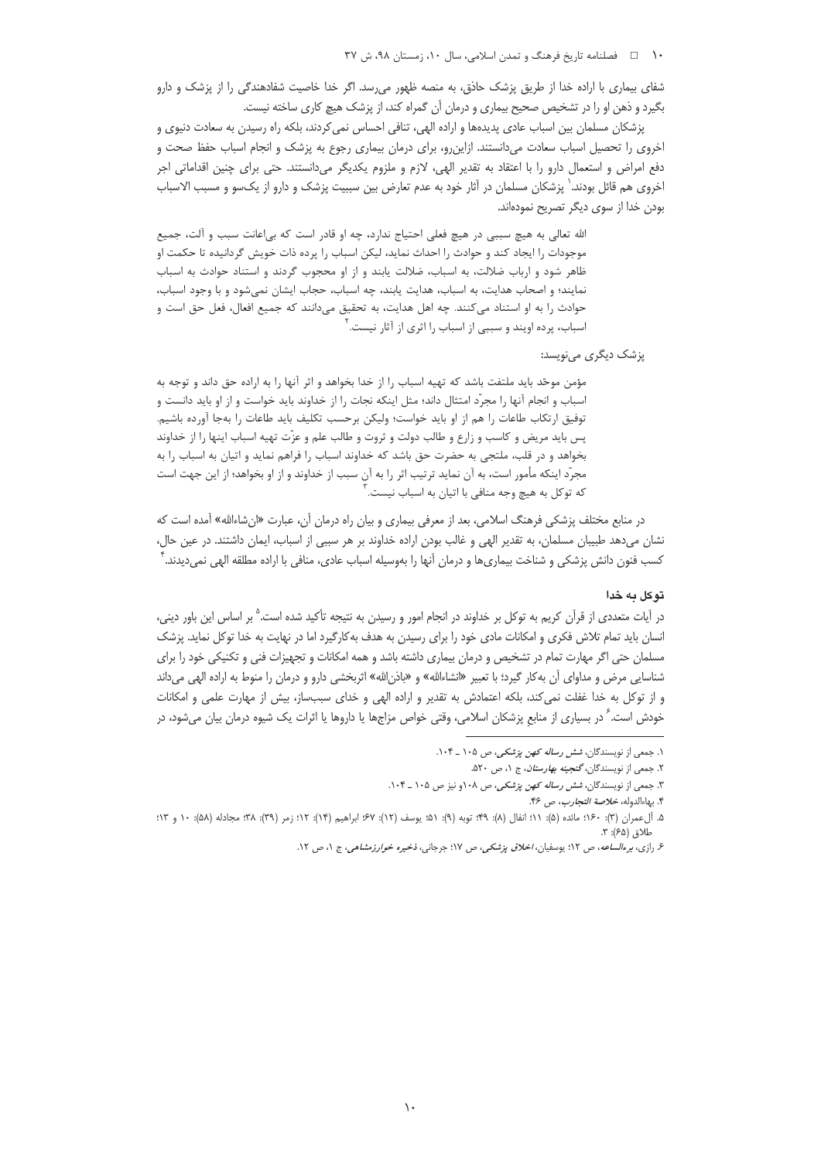### ١٠ هطلنامه تاريخ فرهنگ و تمدن اسلامي، سال ١٠، زمستان ٩٨، ش ٣٧

شفای بیماری با اراده خدا از طریق پزشک حاذق، به منصه ظهور می رسد. اگر خدا خاصیت شفادهندگی را از پزشک و دارو بگیرد و ذهن او را در تشخیص صحیح بیماری و درمان آن گمراه کند، از پزشک هیچ کاری ساخته نیست.

پزشکان مسلمان بین اسباب عادی پدیدهها و اراده الهی، تنافی احساس نمی کردند، بلکه راه رسیدن به سعادت دنیوی و اخروی را تحصیل اسباب سعادت میدانستند. ازاین٫و، برای درمان بیماری رجوع به پزشک و انجام اسباب حفظ صحت و دفع امراض و استعمال دارو را با اعتقاد به تقدیر الهی، لازم و ملزوم یکدیگر میدانستند. حتی برای چنین اقداماتی اجر اخروی هم قائل بودند. ٰ پزشکان مسلمان در آثار خود به عدم تعارض بین سببیت پزشک و دارو از یکسو و مسبب الاسباب بودن خدا از سوی دیگر تصریح نمودهاند.

الله تعالى به هيچ سببي در هيچ فعلي احتياج ندارد، چه او قادر است كه بي|عانت سبب و آلت، جميع موجودات را ایجاد کند و حوادث را احداث نماید، لیکن اسباب را پرده ذات خویش گردانیده تا حکمت او ظاهر شود و ارباب ضلالت، به اسباب، ضلالت يابند و از او محجوب گردند و استناد حوادث به اسباب نمایند؛ و اصحاب هدایت، به اسباب، هدایت یابند، چه اسباب، حجاب ایشان نمیشود و با وجود اسباب، حوادث را به او استناد می کنند. چه اهل هدایت، به تحقیق میدانند که جمیع افعال، فعل حق است و اسباب، پرده اویند و سببی از اسباب را اثری از آثار نیست. ٔ

پزشک دیگر*ی* مینویسد:

مؤمن موحّد بايد ملتفت باشد كه تهيه اسباب را از خدا بخواهد و اثر آنها را به اراده حق داند و توجه به اسباب و انجام آنها را مجرّد امتثال داند؛ مثل اینکه نجات را از خداوند باید خواست و از او باید دانست و توفيق ارتكاب طاعات را هم از او بايد خواست؛ وليكن برحسب تكليف بايد طاعات را بهجا آورده باشيم. پس باید مریض و کاسب و زارع و طالب دولت و ثروت و طالب علم و عزّت تهیه اسباب اینها را از خداوند بخواهد و در قلب، ملتجی به حضرت حق باشد که خداوند اسباب را فراهم نماید و اتیان به اسباب را به مجرّد اینکه مأمور است، به آن نماید ترتیب اثر را به آن سبب از خداوند و از او بخواهد؛ از این جهت است که توکل به هیچ وجه منافی با اتیان به اسباب نیست.<sup>۳</sup>

در منابع مختلف پزشکی فرهنگ اسلامی، بعد از معرفی بیماری و بیان راه درمان آن، عبارت «ان شاءالله» آمده است که نشان میدهد طبیبان مسلمان، به تقدیر الهی و غالب بودن اراده خداوند بر هر سببی از اسباب، ایمان داشتند. در عین حال، کسب فنون دانش پزشکی و شناخت بیماریها و درمان آنها را بهوسیله اسباب عادی، منافی با اراده مطلقه الهی نمیدیدند. <sup>۲</sup>

## توكل به خدا

در آیات متعددی از قرآن کریم به توکل بر خداوند در انجام امور و رسیدن به نتیجه تأکید شده است.<sup>۵</sup> بر اساس این باور دینی، انسان باید تمام تلاش فکری و امکانات مادی خود را برای رسیدن به هدف بهکارگیرد اما در نهایت به خدا توکل نماید. پزشک مسلمان حتی اگر مهارت تمام در تشخیص و درمان بیماری داشته باشد و همه امکانات و تجهیزات فنی و تکنیکی خود را برای شناسایی مرض و مداوای آن به کار گیرد؛ با تعبیر «انشاءالله» و «باذن|لله» اثربخشی دارو و درمان را منوط به اراده الهی میداند و از توکل به خدا غفلت نمیکند، بلکه اعتمادش به تقدیر و اراده الهی و خدای سببساز، بیش از مهارت علمی و امکانات خودش است. ً در بسیاری از منابع پزشکان اسلامی، وقتی خواص مزاجها یا داروها یا اثرات یک شیوه درمان بیان میشود، در

١. جمعی از نویسندگان، *شش رساله کهن پزشکی، ص ١٠*۵ ـ ١٠۴.

۲. جمعی از نویسندگان، *گنجینه بهارستان*، ج ۱، ص ۵۲۰.

۳. جمعی از نویسندگان، *شش رساله کهن پزشکی*، ص ۱۰۸و نیز ص ۱۰۵ ـ ۱۰۴.

۴. بهاءالدوله، *خلاصة التجارب*، ص ۴۶.

۵. آلءمران (۳): ۱۶۰؛ مائده (۵): ۱۱؛ انفال (۸): ۴۹؛ توبه (۹): ۵۱؛ یوسف (۱۲): ۶۷؛ ابراهیم (۱۴): ۱۲؛ ۳٫؛ مثل، ۱۳؛ ۱۸؛ و ۱۳؛ و ۱۳؛ طلاة (۶۵): ٣.

ع رازی، *برءالساعه*، ص ۱۲؛ یوسفیان، *اخلاق پزشکی*، ص ۱۷؛ جرجانی، *ذخیره خوارزمشاهی*، ج ۱، ص ۱۲.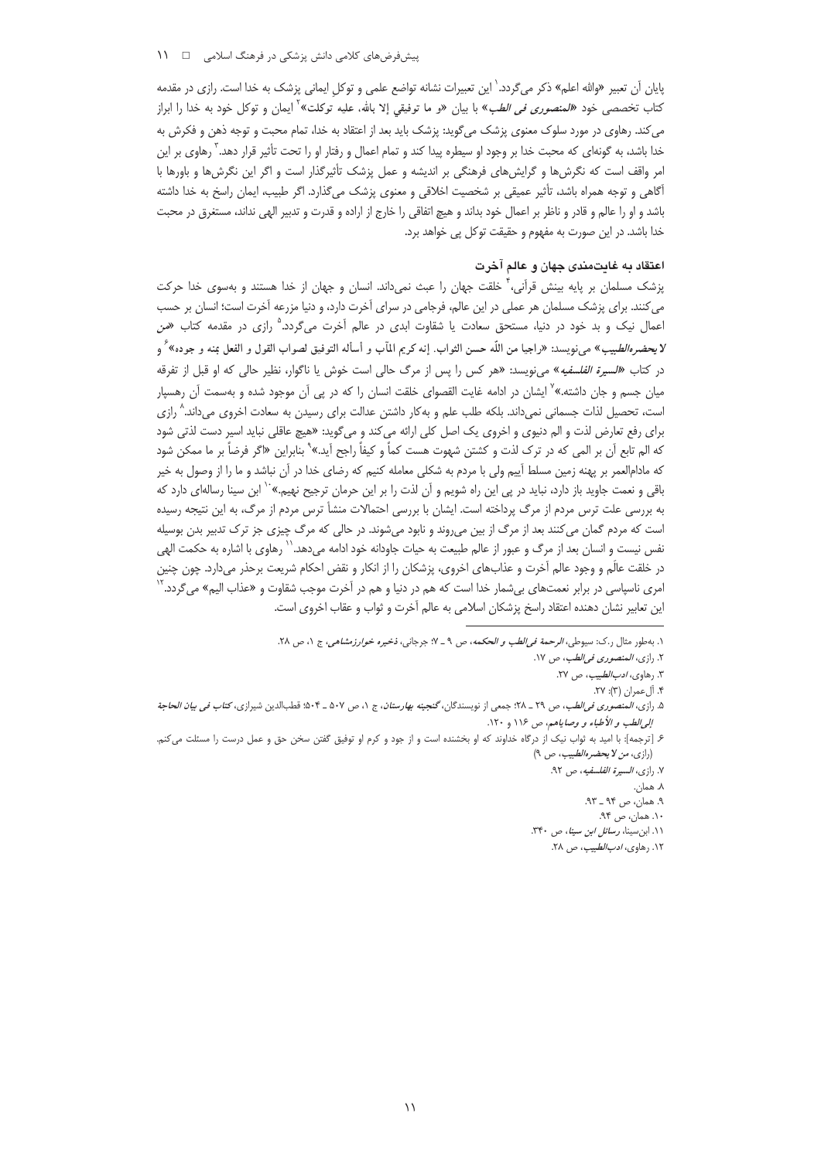### پیشفرضهای کلامی دانش پزشکی در فرهنگ اسلامی 1 \\

پایان آن تعبیر «والله اعلم» ذکر می گردد.<sup>\</sup> این تعبیرات نشانه تواضع علمی و توکل ایمانی پزشک به خدا است. رازی در مقدمه کتاب تخصصی خود *«المنصوری فی الطب»* با بیان «و ما توفیقی إلا بالله، علیه توکلت»<sup>۱</sup> ایمان و توکل خود به خدا را ابراز می کند. رهاوی در مورد سلوک معنوی پزشک می گوید: پزشک باید بعد از اعتقاد به خدا، تمام محبت و توجه ذهن و فکرش به خدا باشد، به گونهای که محبت خدا بر وجود او سیطره پیدا کند و تمام اعمال و رفتار او را تحت تأثیر قرار دهد. <sup>۳</sup> رهاوی بر این امر واقف است که نگرشها و گرایشهای فرهنگی بر اندیشه و عمل پزشک تأثیرگذار است و اگر این نگرشها و باورها با آگاهی و توجه همراه باشد، تأثیر عمیقی بر شخصیت اخلاقی و معنوی پزشک می گذارد. اگر طبیب، ایمان راسخ به خدا داشته باشد و او را عالم و قادر و ناظر بر اعمال خود بداند و هیچ اتفاقی را خارج از اراده و قدرت و تدبیر الهی نداند، مستغرق در محبت خدا باشد. در این صورت به مفهوم و حقیقت توکل پی خواهد برد.

### اعتقاد به غایتمندی جهان و عالم آخرت

پزشک مسلمان بر پایه بینش قرآنی، ٌ خلقت جهان را عبث نمیداند. انسان و جهان از خدا هستند و بهسوی خدا حرکت می کنند. برای پزشک مسلمان هر عملی در این عالم، فرجامی در سرای آخرت دارد، و دنیا مزرعه آخرت است؛ انسان بر حسب اعمال نیک و بد خود در دنیا، مستحق سعادت یا شقاوت ابدی در عالم آخرت میگردد.<sup>۵</sup> رازی در مقدمه کتاب *«من* لايحضر*هالط*بيب» مىنويسد: «راجيا من اللّه حسن الثواب. إنه كريم المآب و أسأله التوفيق لصواب القول و الفعل بمنه و جوده» ٌ و در كتاب «*السيرة الفلسفيه*» مى نويسد: «هر كس را پس از مرگ حالى است خوش يا ناگوار، نظير حالى كه او قبل از تفرقه میان جسم و جان داشته.»<sup>۷</sup> ایشان در ادامه غایت القصوای خلقت انسان را که در پی آن موجود شده و بهسمت آن رهسپار است، تحصیل لذات جسمانی نمیداند. بلکه طلب علم و بهکار داشتن عدالت برای رسیدن به سعادت اخروی میداند.<sup>۸</sup> رازی برای رفع تعارض لذت و الم دنیوی و اخروی یک اصل کلی ارائه می کند و می گوید: «هیچ عاقلی نباید اسیر دست لذتی شود كه الم تابع آن بر المي كه در ترك لذت و كشتن شهوت هست كماً و كيفاً راجح آيد.»<sup>۹</sup> بنابراين «اگر فرضاً بر ما ممكن شود که مادام|لعمر بر پهنه زمین مسلط آییم ولی با مردم به شکلی معامله کنیم که رضای خدا در آن نباشد و ما را از وصول به خیر باقی و نعمت جاوید باز دارد، نباید در پی این راه شویم و آن لذت را بر این حرمان ترجیح نهیم.» `` ابن سینا رسالهای دارد که به بررسی علت ترس مردم از مرگ پرداخته است. ایشان با بررسی احتمالات منشأ ترس مردم از مرگ، به این نتیجه رسیده است که مردم گمان میکنند بعد از مرگ از بین میروند و نابود میشوند. در حالی که مرگ چیزی جز ترک تدبیر بدن بوسیله نفس نیست و انسان بعد از مرگ و عبور از عالم طبیعت به حیات جاودانه خود ادامه میدهد.`` رهاوی با اشاره به حکمت الهی در خلقت عالَم و وجود عالم اَخرت و عذابهای اخروی، پزشکان را از انکار و نقض احکام شریعت برحذر میدارد. چون چنین امری ناسپاسی در برابر نعمتهای بیشمار خدا است که هم در دنیا و هم در آخرت موجب شقاوت و «عذاب الیم» میگردد.<sup>۲</sup> این تعابیر نشان دهنده اعتقاد راسخ پزشکان اسلامی به عالم آخرت و ثواب و عقاب اخروی است.

١. به طور مثال ر.ك: سيوطى، *الرحمة في الطب و الحكمه*، ص ٩ \_ ٧: جرجاني، *ذخيره خوارزمشاهي*، ج ١، ص ٢٨.

٢. رازي، *المنصوري في الطب*، ص ١٧.

۳. رهاوى، *ادب الطبيب*، ص ۲۷.

۴. آلءمران (۳): ۲۷.

۵. رازي، *المنصوري في الطب، ص ٢٩ - ٢*٠٨؛ جمعي از نويسندگان، گنجين*ه بهارستان*، ج ١، ص ٥٠٧ - ٥٠۴؛ نظاجالدين شيرازي، *كتاب في بيان الحاجة* إلى الطب و الأطباء و وصاياهم، ص ١١۶ و ١٢٠.

۶ـ [ترجمه]: با امید به ثواب نیک از درگاه خداوند که او بخشنده است و از جود و کرم او توفیق گفتن سخن حق و عمل درست را مسئلت میکنم. (رازي، من لا يحضره الطبيب، ص ٩)

٧. رازى، *السيرة الفلسفيه*، ص ٩٢.

۸. همان.

۹. همان، ص ۹۴ ـ ۹۳.

۰۱. همان، ص ۹۴. ١١. ابن سينا، رسائل ابن سينا، ص ٣۴٠.

۱۲. رهاوى، *ادب الطبيب*، ص ۲۸.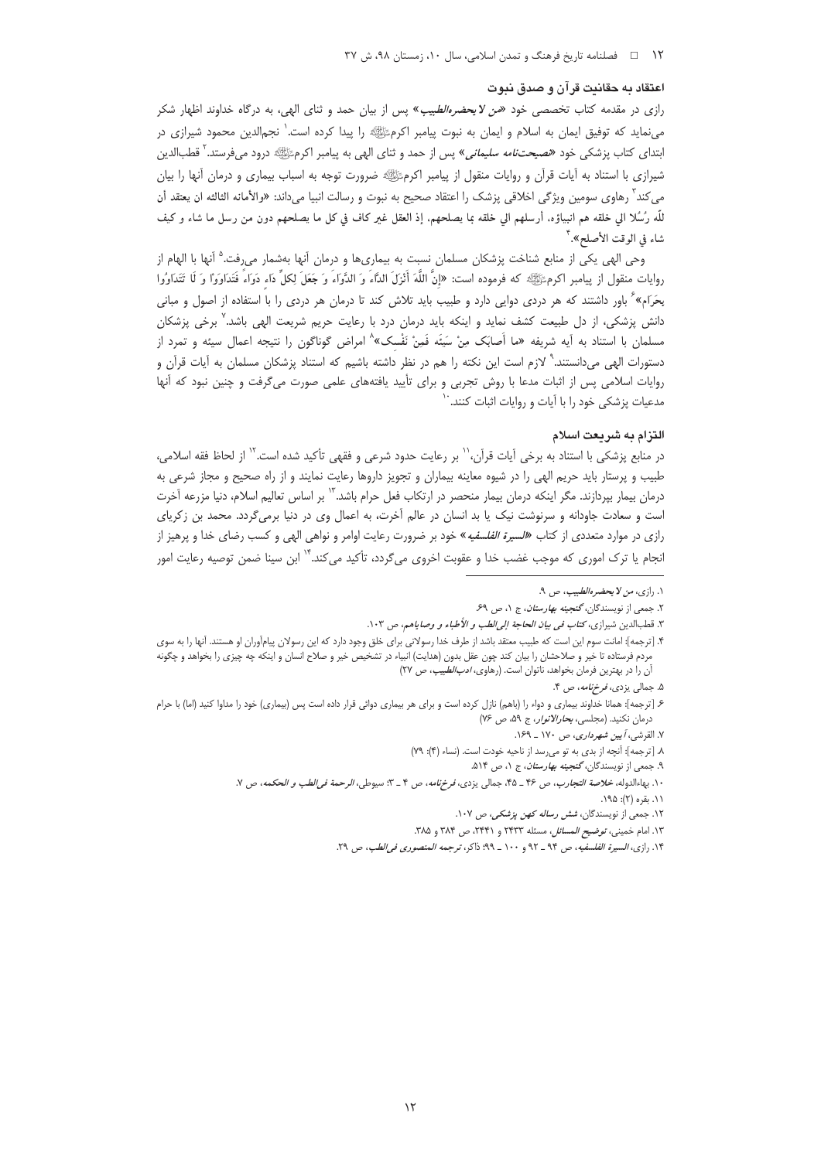#### اعتقاد به حقانیت قرآن و صدق نبوت

رازی در مقدمه کتاب تخصصی خود *«من لایحضرهالطبیب*» پس از بیان حمد و ثنای الهی، به درگاه خداوند اظهار شکر می:ماید که توفیق ایمان به اسلام و ایمان به نبوت پیامبر اکرمﷺ را پیدا کرده است. ٰ نجمالدین محمود شیرازی در ابتدای کتاب پزشکی خود *«نصیحتنامه سلیمانی»* پس از حمد و ثنای الهی به پیامبر اکرمﷺ درود میفرستد.<sup>۲</sup> قطبالدین شیرازی با استناد به آیات قرآن و روایات منقول از پیامبر اکرمﷺ ضرورت توجه به اسباب بیماری و درمان آنها را بیان می کند<sup>۳</sup> رهاوی سومین ویژگی اخلاقی پزشک را اعتقاد صحیح به نبوت و رسالت انبیا میداند: «والأمانه الثالثه ان یعتقد أن للّه رُسُلا الى خلقه هم انبياؤه. أرسلهم الى خلقه بما يصلحهم. إذ العقل غير كاف في كل ما يصلحهم دون من رسل ما شاء و كيف شاء في الوقت الأصلح».<sup>۴</sup>

وحی الهی یکی از منابع شناخت پزشکان مسلمان نسبت به بیماریها و درمان آنها بهشمار میرفت.<sup>۵</sup> آنها با الهام از روايات منقول از پيامبر اكرمﷺ كه فرموده است: «إنَّ اللَّهَ أَنْزَلَ الدَّاءَ وَ الدَّوَاءَ وَ جَعَلَ لِكلِّ دَاء دَوَاءً فَتَدَاوَوْا وَ لَا تَتَدَاوُوا بِحَرَامِ» ٔ باور داشتند که هر دردی دوایی دارد و طبیب باید تلاش کند تا درمان هر دردی را با استفاده از اصول و مبانی دانش پزشکی، از دل طبیعت کشف نماید و اینکه باید درمان درد با رعایت حریم شریعت الهی باشد.٬ برخی پزشکان مسلمان با استناد به آیه شریفه «ما أَصابَک مِنْ سَيئَه فَمِنْ نَفْسک» امراض گوناگون را نتیجه اعمال سیئه و تمرد از دستورات الهی میدانستند.<sup>۹</sup> لازم است این نکته را هم در نظر داشته باشیم که استناد پزشکان مسلمان به آیات قرآن و روایات اسلامی پس از اثبات مدعا با روش تجربی و برای تأیید یافتههای علمی صورت میگرفت و چنین نبود که آنها مدعیات پزشکی خود را با آیات و روایات اثبات کنند. ٔ

### التزام به شريعت اسلام

در منابع پزشکی با استناد به برخی آیات قرآن،'<sup>\'</sup> بر رعایت حدود شرعی و فقهی تأکید شده است.'' از لحاظ فقه اسلامی، طبیب و پرستار باید حریم الهی را در شیوه معاینه بیماران و تجویز داروها رعایت نمایند و از راه صحیح و مجاز شرعی به درمان بیمار بپردازند. مگر اینکه درمان بیمار منحصر در ارتکاب فعل حرام باشد.<sup>۱۳</sup> بر اساس تعالیم اسلام، دنیا مزرعه آخرت است و سعادت جاودانه و سرنوشت نیک یا بد انسان در عالم آخرت، به اعمال وی در دنیا برمیگردد. محمد بن زکریای رازی در موارد متعددی از کتاب «*للسیرة الفلسفیه*» خود بر ضرورت رعایت اوامر و نواهی الهی و کسب رضای خدا و پرهیز از انجام یا ترک اموری که موجب غضب خدا و عقوبت اخروی میگردد، تأکید میکند.<sup>۱۴</sup> ابن سینا ضمن توصیه رعایت امور

١. رازي، من لا يحضره الطبيب، ص ٩.

٢. جمعی از نویسندگان، گنجینه بهارستان، ج ١، ص ۶۹.

٣. قطبالدين شيرازى، كت*اب فى بيان الحاجة إلى الطب و الأطباء و وصا*ياهم، ص ١٠٣.

۴. [ترجمه]: امانت سوم این است که طبیب معتقد باشد از طرف خدا رسولانی برای خلق وجود دارد که این رسولان پیامآوران او هستند. آنها را به سوی مردم فرستاده تا خیر و صلاحشان را بیان کند چون عقل بدون (هدایت) انبیاء در تشخیص خیر و صلاح انسان و اینکه چه چیزی را بخواهد و چگونه آن را در بهترین فرمان بخواهد، ناتوان است. (رهاوی، *ادب الطبیب، ص* ٢٧)

۵. جمالي يزدي، *فرخ نامه*، ص ۴.

۶. [ترجمه]: همانا خداوند بیماری و دواء را (باهم) نازل کرده است و برای هر بیماری دوائی قرار داده است پس (بیماری) خود را مداوا کنید (اما) با حرام درمان نکنید. (مجلسی، بحار *الانوار،* ج ۵۹، ص ۷۶)

٧. القرشي، أيين شهرداري، ص ١٧٠ \_ ١٤٩.

٨. [ترجمه]: أنچه از بدي به تو مي رسد از ناحيه خودت است. (نساء (۴): ٧٩)

۹. جمعی از نویسندگان، گنجی*نه بهارستان*، ج ۱، ص ۵۱۴.

١٠. بهاءالدوله، خلاصة التجارب، ص ٣۶ ـ ۴۵، جمالي يزدي، فرخ نامه، ص ۴ ـ ٣: سيوطي، الرحمة في الطب و الحكمه، ص ٧.

۰۱۱. بقره (۲): ۱۹۵.

١٢. جمعي از نويسندگان، *شش رساله كهن پزشكي*، ص ١٠٧.

١٣. امام خميني، *توضيح المسائل*، مسئله ٢٣٣٣ و ٢٣۴١، ص ٣٨۴ و ٣٨٥.

١۴. رازي، السيرة الفلسفيه، ص ٩٤ \_ ٩٢ و ١٠٠ \_ ٩٩؛ ذاكر، ترجمه المنصوري في الطب، ص ٢٩.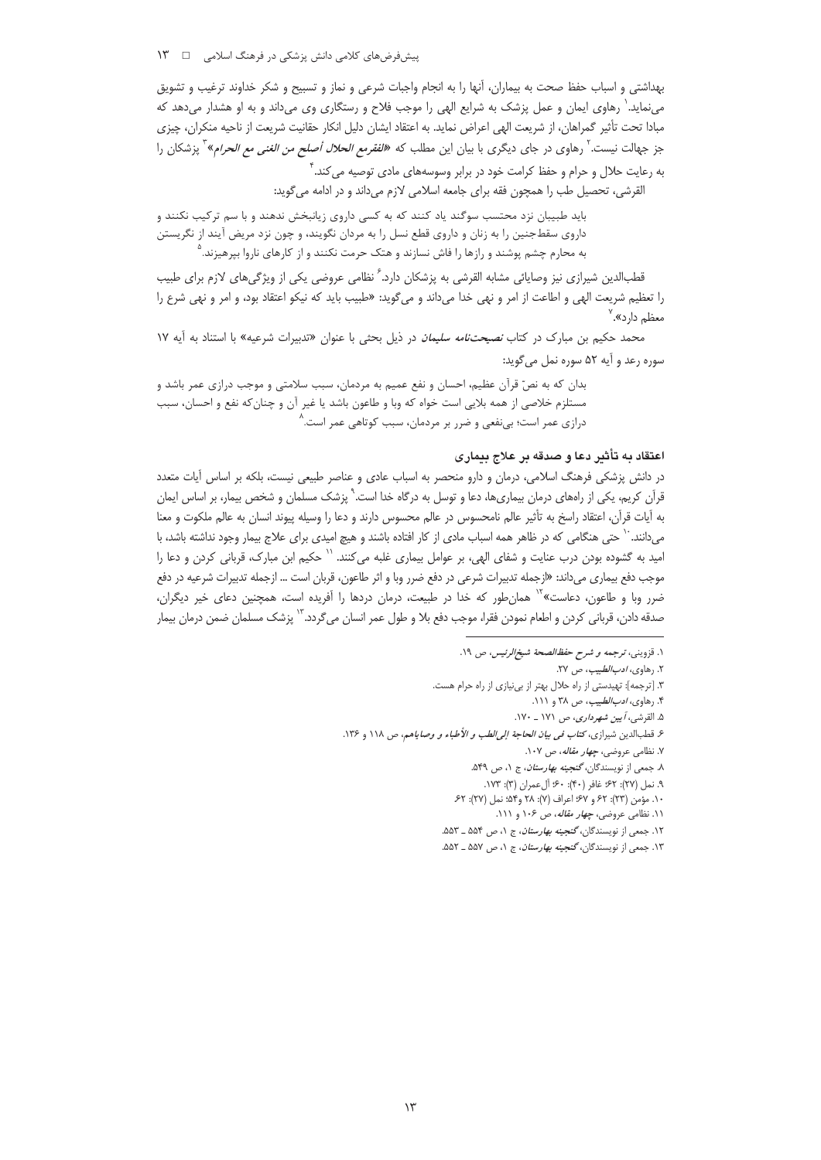ییشفر ضهای کلامی دانش پزشکی در فرهنگ اسلامی ہے ۔ ۱۳

بهداشتی و اسباب حفظ صحت به بیماران، آنها را به انجام واجبات شرعی و نماز و تسبیح و شکر خداوند ترغیب و تشویق مینماید. ٰ رهاوی ایمان و عمل پزشک به شرایع الهی را موجب فلاح و رستگاری وی میداند و به او هشدار میدهد که مبادا تحت تأثیر گمراهان، از شریعت الهی اعراض نماید. به اعتقاد ایشان دلیل انکار حقانیت شریعت از ناحیه منکران، چیزی جز جهالت نیست.<sup>۲</sup> رهاوی در جای دیگری با بیان این مطلب که *«الفقرمع الحلال أصلح من الغنی مع الحرا*م» ؓ پزشکان را به رعایت حلال و حرام و حفظ کرامت خود در برابر وسوسههای مادی توصیه می کند. ٔ

القرشي، تحصيل طب را همچون فقه براي جامعه اسلامي لازم مي داند و در ادامه مي گويد:

باید طبیبان نزد محتسب سوگند یاد کنند که به کسی داروی زیانبخش ندهند و با سم ترکیب نکنند و داروی سقطجنین را به زنان و داروی قطع نسل را به مردان نگویند، و چون نزد مریض آیند از نگریستن به محارم چشم پوشند و رازها را فاش نسازند و هتک حرمت نکنند و از کارهای ناروا بپرهیزند.<sup>۵</sup>

قطبالدین شیرازی نیز وصایائی مشابه القرشی به پزشکان دارد. ً نظامی عروضی یکی از ویژگیهای لازم برای طبیب را تعظیم شریعت الهی و اطاعت از امر و نهی خدا میداند و میگوید: «طبیب باید که نیکو اعتقاد بود، و امر و نهی شرع را معظم دارد».<sup>۷</sup>

محمد حکیم بن مبارک در کتاب *نصیحتنامه سلیمان* در ذیل بحثی با عنوان «تدبیرات شرعیه» با استناد به آیه ۱۷ سوره رعد و آيه ۵۲ سوره نمل مي گويد:

بدان كه به نصِّ قرآن عظیم، احسان و نفع عمیم به مردمان، سبب سلامتی و موجب درازی عمر باشد و مستلزم خلاصي از همه بلايي است خواه كه وبا و طاعون باشد يا غير آن و چنان كه نفع و احسان، سبب درازی عمر است؛ بینفعی و ضرر بر مردمان، سبب کوتاهی عمر است. ٛ

#### اعتقاد به تأثير دعا و صدقه بر علاج بيماري

در دانش پزشکی فرهنگ اسلامی، درمان و دارو منحصر به اسباب عادی و عناصر طبیعی نیست، بلکه بر اساس آیات متعدد قرآن کریم، یکی از راههای درمان بیماریها، دعا و توسل به درگاه خدا است.`ْ پزشک مسلمان و شخص بیمار، بر اساس ایمان به آيات قرآن، اعتقاد راسخ به تأثير عالم نامحسوس در عالم محسوس دارند و دعا را وسيله پيوند انسان به عالم ملكوت و معنا میدانند. `` حتی هنگامی که در ظاهر همه اسباب مادی از کار افتاده باشند و هیچ امیدی برای علاج بیمار وجود نداشته باشد، با امید به گشوده بودن درب عنایت و شفای الهی، بر عوامل بیماری غلبه میکنند. <sup>۱٬</sup> حکیم ابن مبارک، قربانی کردن و دعا را موجب دفع بیماری میداند: «ازجمله تدبیرات شرعی در دفع ضرر وبا و اثر طاعون، قربان است … ازجمله تدبیرات شرعیه در دفع ضرر وبا و طاعون، دعاست»<sup>۱۷</sup> همان طور که خدا در طبیعت، درمان دردها را آفریده است، همچنین دعای خیر دیگران، صدقه دادن، قرباني كردن و اطعام نمودن فقرا، موجب دفع بلا و طول عمر انسان مي¢ردد. `` پزشک مسلمان ضمن درمان بيمار

١. قزويني، ترجمه و شرح حفظ الصحة شيخ الرئيس، ص ١٩.

۲. رهاوى، *ادب الطبيب*، ص ۲۷.

۳. [ترجمه]: تهیدستی از راه حلال بهتر از بینیازی از راه حرام هست.

۴. رهاوی، *ادب الطبیب*، ص ۳۸ و ۱۱۱.

۵. القرشي، أيين شهرداري، ص ١٧١ \_ ١٧٠.

ع قطبالدين شيرازى، *كتاب في بيان الحاجة إلى الطب و الأطباء و وصاياهم*، ص ١١٨ و ١٣۶.

۷. نظامی عروضی، *چهار مقاله*، ص ۱۰۷.

٨. جمعي از نويسندگان، *گنجينه بهارستان*، ج ١، ص ٥۴٩. ۹. نمل (۲۷): ۶۲؛ غافر (۴۰): ۶۰؛ آل عمران (۳): ۱۷۳.

١٠. مؤمن (٢٣): ۶٢ و ۶٧؛ اعراف (٧): ٢٨ و٥۴؛ نمل (٢٧): ۶٢.

۰۱۱ نظامی عروضی، *چهار مقاله*، ص ۱۰۶ و ۱۱۱.

١٢. جمعي از نويسندگان، *گنجينه بهارستان*، ج ١، ص ۵۵۴ ـ ۵۵۳.

۱۳. جمعی از نویسندگان، *گنجینه بهارستان*، ج ۱، ص ۵۵۷ ـ ۵۵۲.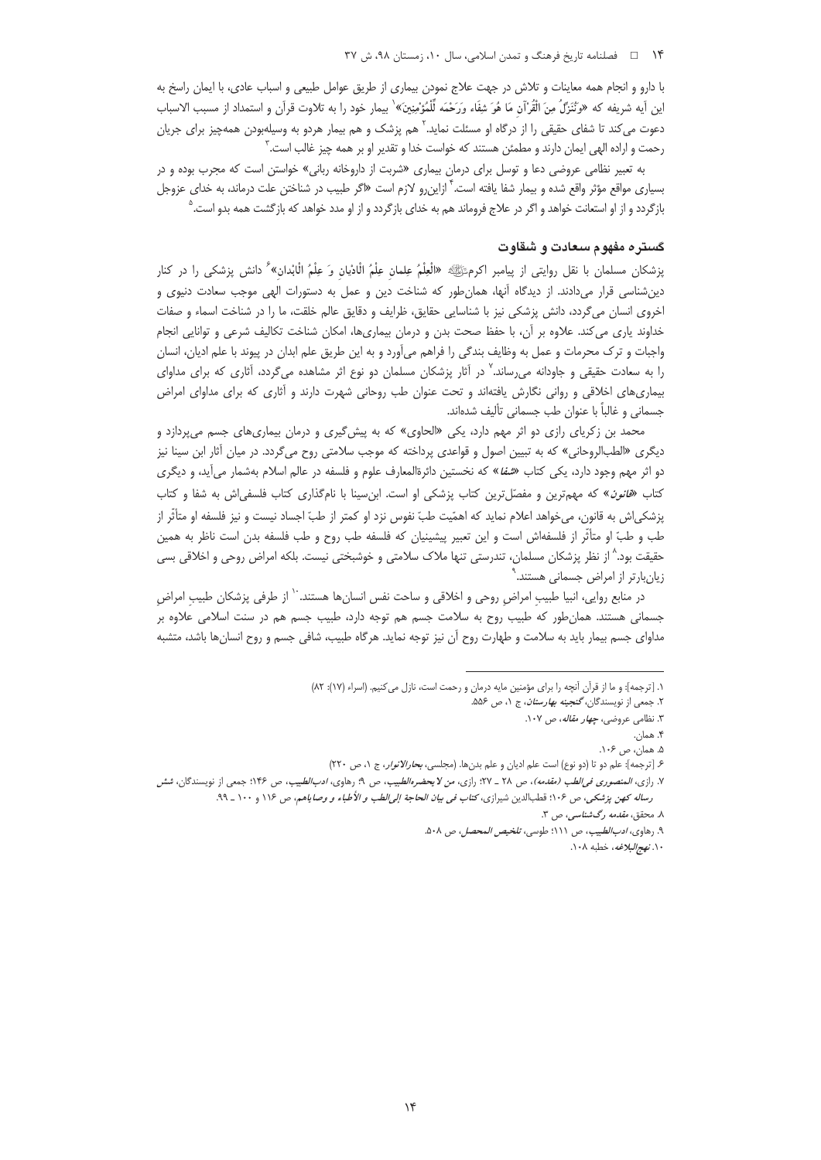### ۱۴ ه نصلنامه تاریخ فرهنگ و تمدن اسلامی، سال ۱۰، زمستان ۹۸، ش ۳۷

با دارو و انجام همه معاینات و تلاش در جهت علاج نمودن بیماری از طریق عوامل طبیعی و اسباب عادی، با ایمان راسخ به اين أيه شريفه كه «وَنْنَزَّلٌ مِنَ الْقُرْآن مَا هُوَ شِفَاء وَرَحْمَه لِّلْمُؤْمِنِينَ» ٰ بيمار خود را به تلاوت قرآن و استمداد از مسبب الاسباب دعوت میکند تا شفای حقیقی را از درگاه او مسئلت نماید.<sup>۲</sup> هم پزشک و هم بیمار هردو به وسیلهبودن همهچیز برای جریان رحمت و اراده الهی ایمان دارند و مطمئن هستند که خواست خدا و تقدیر او بر همه چیز غالب است. ّ

به تعبیر نظامی عروضی دعا و توسل برای درمان بیماری «شربت از داروخانه ربانی» خواستن است که مجرب بوده و در بسیاری مواقع مؤثر واقع شده و بیمار شفا یافته است.<sup>۴</sup> ازاین٫رو لازم است «اگر طبیب در شناختن علت درماند، به خدای عزوجل بازگردد و از او استعانت خواهد و اگر در علاج فروماند هم به خدای بازگردد و از او مدد خواهد که بازگشت همه بدو است.<sup>۵</sup>

## کستره مفهوم سعادت و شقاوت

پزشکان مسلمان با نقل روایتی از پیامبر اکرمﷺ «الْعِلْمُ عِلمان عِلْمُ الْادْیان وَ عِلْمُ الْابْدان» ٗ دانش پزشکی را در کنار دینشناسی قرار میدادند. از دیدگاه آنها، همانطور که شناخت دین و عمل به دستورات الهی موجب سعادت دنیوی و اخروی انسان میگردد، دانش پزشکی نیز با شناسایی حقایق، ظرایف و دقایق عالم خلقت، ما را در شناخت اسماء و صفات خداوند پاری می کند. علاوه بر آن، با حفظ صحت بدن و درمان بیماریها، امکان شناخت تکالیف شرعی و توانایی انجام واجبات و ترک محرمات و عمل به وظایف بندگی را فراهم می[ورد و به این طریق علم ابدان در پیوند با علم ادیان، انسان را به سعادت حقیقی و جاودانه میرساند.<sup>۷</sup> در آثار پزشکان مسلمان دو نوع اثر مشاهده میگردد، آثاری که برای مداوای بیماریهای اخلاقی و روانی نگارش یافتهاند و تحت عنوان طب روحانی شهرت دارند و آثاری که برای مداوای امراض جسماني و غالباً با عنوان طب جسماني تأليف شدهاند.

محمد بن زکریای رازی دو اثر مهم دارد، یکی «الحاوی» که به پیش گیری و درمان بیماریهای جسم میپردازد و دیگری «الطبالروحانی» که به تبیین اصول و قواعدی پرداخته که موجب سلامتی روح میگردد. در میان آثار ابن سینا نیز دو اثر مهم وجود دارد، یکی کتاب «*شفا*» که نخستین دائرةالمعارف علوم و فلسفه در عالم اسلام بهشمار می[ید، و دیگری کتاب «*قانون*» که مهمترین و مفصّلترین کتاب پزشکی او است. ابنسینا با نامگذاری کتاب فلسفی اش به شفا و کتاب پزشکی|ش به قانون، میخواهد اعلام نماید که اهمّیت طبّ نفوس نزد او کمتر از طبّ اجساد نیست و نیز فلسفه او متأثّر از طب و طبِّ او متأثِّر از فلسفهاش است و این تعبیر پیشینیان که فلسفه طب روح و طب فلسفه بدن است ناظر به همین حقيقت بود.<sup>^</sup> از نظر پزشكان مسلمان، تندرستى تنها ملاک سلامتى و خوشبختى نيست. بلكه امراض روحى و اخلاقى بسى زیانبارتر از امراض جسمانی هستند.<sup>^</sup>

در منابع روايي، انبيا طبيب امراض روحي و اخلاقي و ساحت نفس انسانها هستند. `` از طرفي پزشكان طبيب امراض جسمانی هستند. همانطور که طبیب روح به سلامت جسم هم توجه دارد، طبیب جسم هم در سنت اسلامی علاوه بر مداوای جسم بیمار باید به سلامت و طهارت روح آن نیز توجه نماید. هرگاه طبیب، شافی جسم و روح انسانها باشد، متشبه

۰۱۰ *نهج البلاغه*، خطبه ۱۰۸.

١. [ترجمه]: و ما از قرآن آنچه را براى مؤمنين مايه درمان و رحمت است، نازل مى كنيم. (اسراء (١٧): ٨٢)

۲. جمعی از نویسندگان، *گنجینه بهارستان*، ج ۱، ص ۵۵۶.

۰۳ نظامی عروضی، *چهار مقاله*، ص ۱۰۷.

۴. همان. ۵. همان، ص ۱۰۶.

۶. [ترجمه]: علم دو تا (دو نوع) است علم اديان و علم بدنها. (مجلسي، *بحارالانوار*، ج ١، ص ٢٢٠)

۷. رازی، *المنصوری فی الطب (مقدمه)*، ص ۲۸ ـ ۲۷؛ رازی، *من لا یحضرهالطیب*، ص ۹؛ رهاوی، *ادب الطبیب*، ص ۱۴۶؛ جمعی از نویسندگان، *شش* رساله كهن پزشكي، ص ۱۰۶؛ قطبالدين شيرازي، كتا*ب في بيان الحاجة إلى الطب و الأطباء و وصاياهم، ص ۱۱۶ و ۱۰۰ ـ ۹۹.* ۸. محقق، *مقدمه رگشناسی*، ص ۳.

۹. رهاوي، *ادب الطبيب*، ص ١١١؛ طوسي، *تلخيص المحصل،* ص ۵۰۸.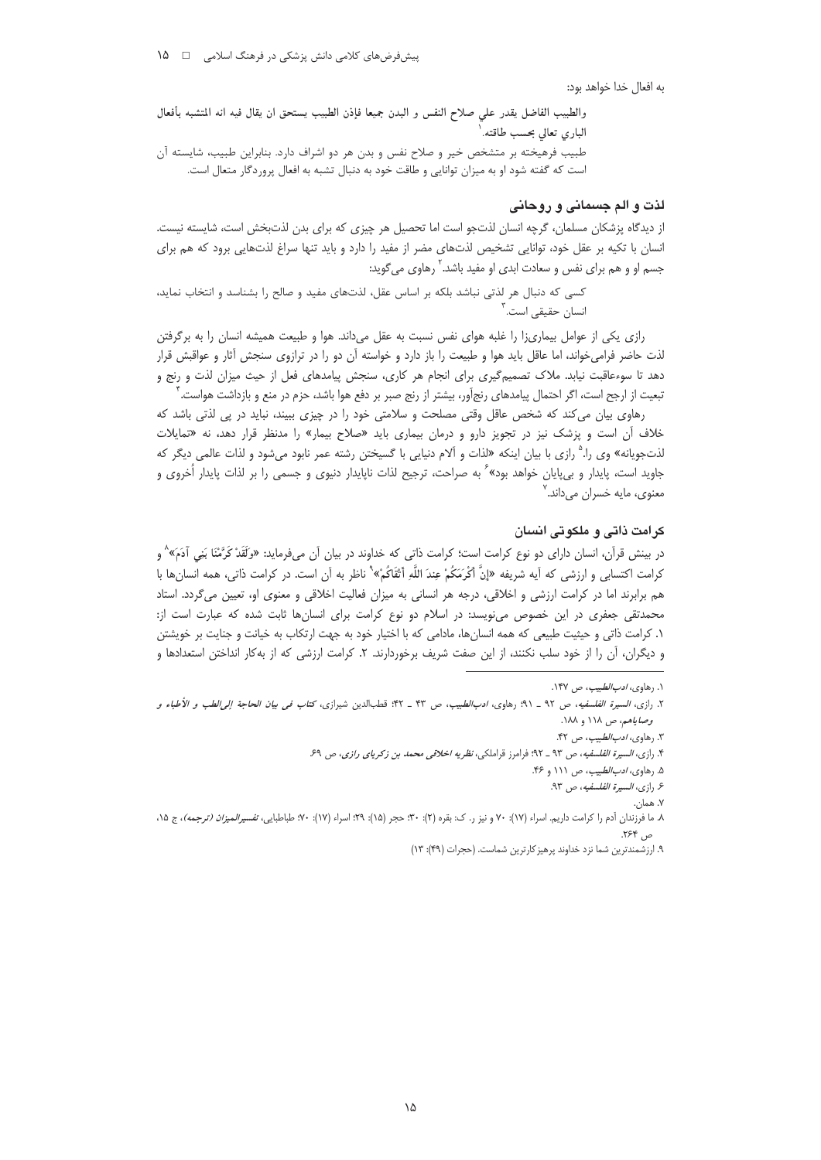به افعال خدا خواهد بود:

والطبيب الفاضل يقدر علي صلاح النفس و البدن جميعا فإذن الطبيب يستحق ان يقال فيه انه المتشبه بأفعال الباري تعالى بحسب طاقته.<sup>\</sup> طبیب فرهیخته بر متشخص خیر و صلاح نفس و بدن هر دو اشراف دارد. بنابراین طبیب، شایسته آن است که گفته شود او به میزان توانایی و طاقت خود به دنبال تشبه به افعال پروردگار متعال است.

## لذت و الم جسمانی و روحانی

از دیدگاه پزشکان مسلمان، گرچه انسان لذتجو است اما تحصیل هر چیزی که برای بدن لذتبخش است، شایسته نیست. انسان با تکیه بر عقل خود، توانایی تشخیص لذتهای مضر از مفید را دارد و باید تنها سراغ لذتهایی برود که هم برای جسم او و هم برای نفس و سعادت ابدی او مفید باشد.<sup>۲</sup> رهاوی می6وید:

کسی که دنبال هر لذتی نباشد بلکه بر اساس عقل، لذتهای مفید و صالح را بشناسد و انتخاب نماید، انسان حقیقے<sub>،</sub> است.<sup>۳</sup>

رازی یکی از عوامل بیماریزا را غلبه هوای نفس نسبت به عقل میداند. هوا و طبیعت همیشه انسان را به برگرفتن لذت حاضر فرامیخواند، اما عاقل باید هوا و طبیعت را باز دارد و خواسته آن دو را در ترازوی سنجش آثار و عواقبش قرار دهد تا سوءعاقبت نیابد. ملاک تصمیمگیری برای انجام هر کاری، سنجش پیامدهای فعل از حیث میزان لذت و رنج و تبعیت از ارجح است، اگر احتمال پیامدهای رنجآور، بیشتر از رنج صبر بر دفع هوا باشد، حزم در منع و بازداشت هواست.

رهاوی بیان می کند که شخص عاقل وقتی مصلحت و سلامتی خود را در چیزی ببیند، نباید در پی لذتی باشد که خلاف أن است و پزشک نیز در تجویز دارو و درمان بیماری باید «صلاح بیمار» را مدنظر قرار دهد، نه «تمایلات لذتجويانه» وي را.<sup>۵</sup> رازي با بيان اينكه «لذات و آلام دنيايي با گسيختن رشته عمر نابود ميشود و لذات عالمي ديگر كه جاوید است، پایدار و بی,پایان خواهد بود»<sup>۶</sup> به صراحت، ترجیح لذات ناپایدار دنیوی و جسمی را بر لذات پایدار اُخروی و معنوي، مايه خسران مي داند. ُ

## کرامت ذاتی و ملکوتی انسان

در بینش قرآن، انسان دارای دو نوع کرامت است؛ کرامت ذاتی که خداوند در بیان آن میفرماید: «وَلَقَدْ کَرَّمْنَا بَنِی آدَمَ»^ و كرامت اكتسابي و ارزشي كه آيه شريفه «إنَّ أَكْرَمَكُمْ عِندَ اللَّهِ أَثْقَاكُمْ» ْ ناظر به آن است. در كرامت ذاتي، همه انسانها با هم برابرند اما در کرامت ارزشی و اخلاقی، درجه هر انسانی به میزان فعالیت اخلاقی و معنوی او، تعیین میگردد. استاد محمدتقی جعفری در این خصوص می نویسد: در اسلام دو نوع کرامت برای انسانها ثابت شده که عبارت است از: ١. كرامت ذاتي و حيثيت طبيعي كه همه انسانها، مادامي كه با اختيار خود به جهت ارتكاب به خيانت و جنايت بر خويشتن و دیگران، أن را از خود سلب نکنند، از این صفت شریف برخوردارند. ۲. کرامت ارزشی که از بهکار انداختن استعدادها و

۰. رهاو*ی، ادب الطبیب*، ص ۱۴۷.

٢. رازى، *السيرة الفلسفيه*، ص ٩٢ \_ ٩١؛ رهاوى، *ادبالطبيب*، ص ۴٣ \_ ۴۴: قطبالدين شيرازى، *كتاب في بيان الحاجة إلى الطب و الأطباء و* وص*اياهم، ص ١١٨* و ١٨٨.

٣. رهاوى، *ادب الطبيب*، ص ۴۲.

۴. رازی، *السیرة الفلسفیه*، ص ۹۳ ـ ۹۲؛ فرامرز قراملکی، *نظریه اخلاقی محمد بن زکریای رازی*، ص ۶۹.

۵. رهاوى، *ادب الطبيب*، ص ۱۱۱ و ۴۶.

۶. رازى، *السيرة الفلسفيه*، ص ٩٣.

۷. همان.

٨. ما فرزندان آدم را كرامت داريم. اسراء (١٧): ٧٠ و نيز ر. ک: بقره (٢): ٣٠: هجر (١٥): ٩١٠؛ اسراء (١٧): ٩٠: طباطبايي، *تفسيرالميزان (ترجمه)*، ج ١٥، ص ۲۶۴.

۹. ارزشمندترین شما نزد خداوند پرهیز کارترین شماست. (حجرات (۴۹): ۱۳)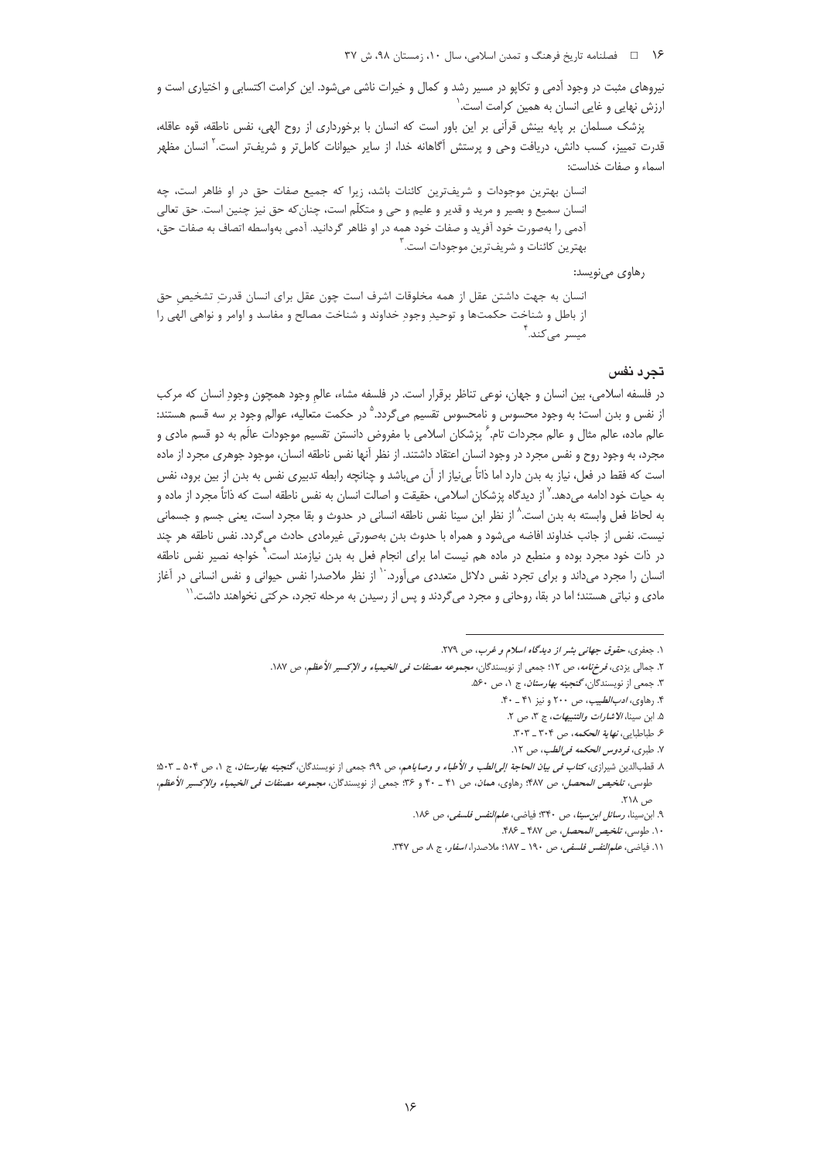نیروهای مثبت در وجود آدمی و تکایو در مسیر رشد و کمال و خیرات ناشی میشود. این کرامت اکتسابی و اختیاری است و ارزش نهایی و غایی انسان به همین کرامت است.<sup>\</sup>

پزشک مسلمان بر پایه بینش قرآنی بر این باور است که انسان با برخورداری از روح الهی، نفس ناطقه، قوه عاقله، قدرت تمییز، کسب دانش، دریافت وحی و پرستش آگاهانه خدا، از سایر حیوانات کاملتر و شریفتر است.<sup>۲</sup> انسان مظهر اسماء و صفات خداست:

انسان بهترین موجودات و شریفترین کائنات باشد، زیرا که جمیع صفات حق در او ظاهر است، چه انسان سمیع و بصیر و مرید و قدیر و علیم و حی و متکلّم است، چنان که حق نیز چنین است. حق تعالی آدمی را بهصورت خود آفرید و صفات خود همه در او ظاهر گردانید. آدمی بهواسطه اتصاف به صفات حق، بهترين كائنات و شريفترين موجودات است.<sup>۳</sup>

رهاوي مي نويسد:

انسان به جهت داشتن عقل از همه مخلوقات اشرف است چون عقل برای انسان قدرت تشخیص حق از باطل و شناخت حکمتها و توحیدِ وجودِ خداوند و شناخت مصالح و مفاسد و اوامر و نواهی الهی را میسر می کند.<sup>۴</sup>

### تجرد نفس

در فلسفه اسلامی، بین انسان و جهان، نوعی تناظر برقرار است. در فلسفه مشاء، عالم وجود همچون وجودِ انسان که مرکب از نفس و بدن است؛ به وجود محسوس و نامحسوس تقسیم می¢ردد.<sup>۵</sup> در حکمت متعالیه، عوالم وجود بر سه قسم هستند: عالم ماده، عالم مثال و عالم مجردات تام. ً پزشکان اسلامی با مفروض دانستن تقسیم موجودات عالَم به دو قسم مادی و مجرد، به وجود روح و نفس مجرد در وجود انسان اعتقاد داشتند. از نظر آنها نفس ناطقه انسان، موجود جوهري مجرد از ماده است که فقط در فعل، نیاز به بدن دارد اما ذاتاً بیiباز از آن میباشد و چنانچه رابطه تدبیری نفس به بدن از بین برود، نفس به حيات خود ادامه مي<هد.<sup>٧</sup> از ديدگاه پزشكان اسلامي، حقيقت و اصالت انسان به نفس ناطقه است كه ذاتاً مجرد از ماده و به لحاظ فعل وابسته به بدن است.^ از نظر ابن سينا نفس ناطقه انساني در حدوث و بقا مجرد است، يعني جسم و جسماني نيست. نفس از جانب خداوند افاضه مي شود و همراه با حدوث بدن بهصورتي غيرمادي حادث مي گردد. نفس ناطقه هر چند در ذات خود مجرد بوده و منطبع در ماده هم نیست اما برای انجام فعل به بدن نیازمند است. ٌ خواجه نصیر نفس ناطقه انسان را مجرد میداند و برای تجرد نفس دلائل متعددی میآورد. ٔ از نظر ملاصدرا نفس حیوانی و نفس انسانی در آغاز مادی و نباتی هستند؛ اما در بقا، روحانی و مجرد می گردند و پس از رسیدن به مرحله تجرد، حرکتی نخواهند داشت. ٰ

١. جعفرى، حقوق جهانى بشر از ديدگاه اسلام و غرب، ص ٢٧٩.

۲. جمال<sub>ی</sub> یزدی، *فرخنامه*، ص ۱۲؛ جمعی از نویسندگان، *مجموعه مصنفات فی الخیمیاء و الإکسیر الأعظم*، ص ۱۸۷.

۳. جمعی از نویسندگان، گنجی*نه بهارستان*، ج ۱، ص ۶۰ه.

۴. رهاوي، *ادب الطبيب*، ص ٢٠٠ و نيز ۴١ ـ ۴٠.

۵. ابن سينا، *الاشارات والتنبيهات*، ج ٣، ص ٢.

۶. طباطبايي، *نهاية الحكمه*، ص ۳۰۴ ـ ۳۰۳.

٧. طبري، فردوس الحكمه في الطب، ص ١٢.

٨. قطبالدین شیرازی، کت*اب فی بیان الحاجة إلی الطب و الأطباء و وصایاهم، ص ٩٩؛ جمعی از نویسندگان، گنجینه بهارستان، ج ١، ص ٥٠۴ ـ ۵٠٣:* طوسي، تلخيص *المحصل، ص ١*٣٨٧. رهاوي، هم*ان*، ص ۴١ ـ ۴٠ و ٣۶: جمعي از نويسندگان، *مجموعه مصنفات في الخيمياء والإكسير الأعظم*، ص ۲۱۸.

۹. ابن سينا، رسائل ابن سينا، ص ٣۴٠؛ فياضي، *علمالنفس فلسفي، ص ١٨۶.* 

١٠. طوسى، تلخيص المحصل، ص ٣٨٧ ـ ٣٨٤.

۰۱۱. فیاضی، *علم النفس فلسفی*، ص ۱۹۰ ـ ۱۸۷: ملاصدرا، *اسفار*، ج ۸، ص ۳۴۷.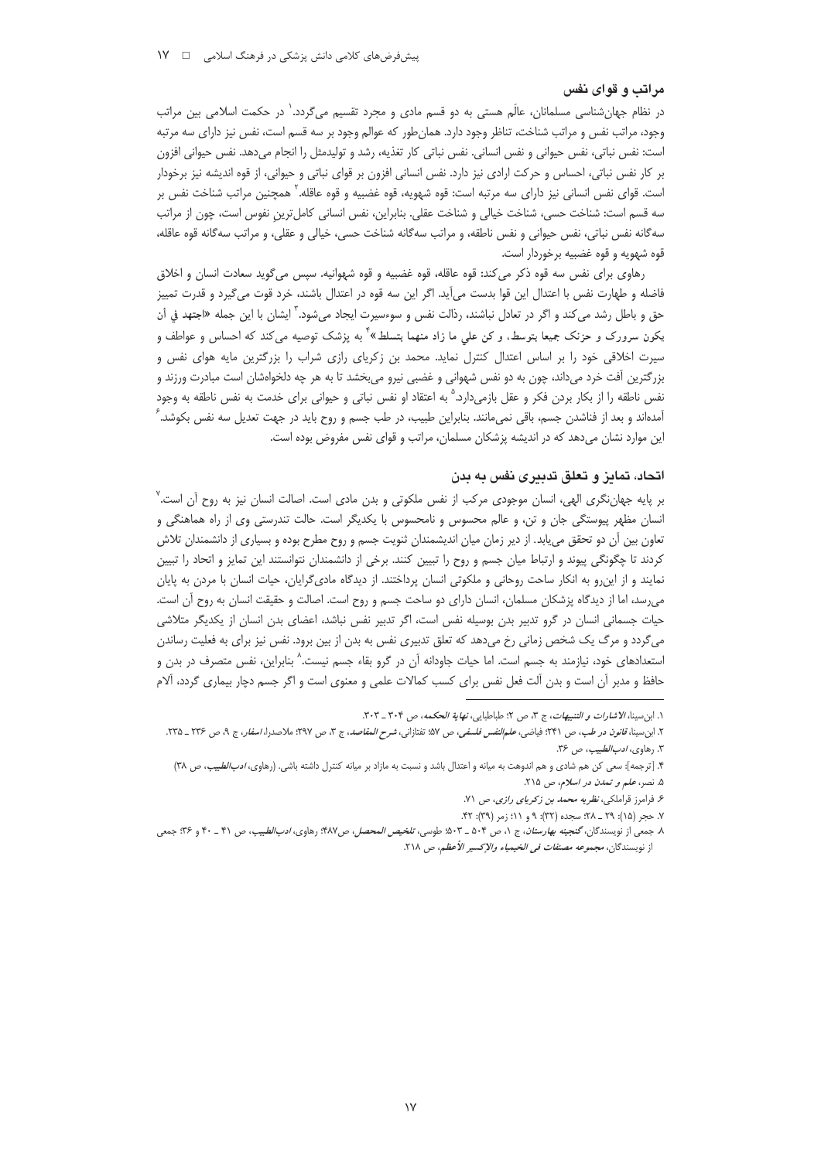## مراتب و قوای نفس

در نظام جهانشناسی مسلمانان، عالَم هستی به دو قسم مادی و مجرد تقسیم میگردد.` در حکمت اسلامی بین مراتب وجود، مراتب نفس و مراتب شناخت، تناظر وجود دارد. همان طور که عوالم وجود بر سه قسم است، نفس نیز دارای سه مرتبه است: نفس نباتی، نفس حیوانی و نفس انسانی. نفس نباتی کار تغذیه، رشد و تولیدمثل را انجام میدهد. نفس حیوانی افزون بر كار نفس نباتى، احساس و حركت ارادى نيز دارد. نفس انسانى افزون بر قواى نباتى و حيوانى، از قوه انديشه نيز برخودار است. قوای نفس انسانی نیز دارای سه مرتبه است: قوه شهویه، قوه غضبیه و قوه عاقله.<sup>۲</sup> همچنین مراتب شناخت نفس بر سه قسم است: شناخت حسی، شناخت خیالی و شناخت عقلی. بنابراین، نفس انسانی کاملترین نفوس است، چون از مراتب سه گانه نفس نباتي، نفس حيواني و نفس ناطقه، و مراتب سه گانه شناخت حسي، خيالي و عقلي، و مراتب سه گانه قوه عاقله، قوه شهويه و قوه غضبيه برخوردار است.

رهاوی برای نفس سه قوه ذکر می کند: قوه عاقله، قوه غضبیه و قوه شهوانیه. سپس میگوید سعادت انسان و اخلاق فاضله و طهارت نفس با اعتدال این قوا بدست میآید. اگر این سه قوه در اعتدال باشند، خرد قوت میگیرد و قدرت تمییز حق و باطل رشد مي كند و اگر در تعادل نباشند، رذالت نفس و سوءسيرت ايجاد ميشود.<sup>۲</sup> ايشان با اين جمله «اجتهد في أن یکون سرورک و حزنک جمیعا بتوسط. و کن علی ما زاد منهما بتسلط»<sup>؟</sup> به پزشک توصیه میکند که احساس و عواطف و سیرت اخلاقی خود را بر اساس اعتدال کنترل نماید. محمد بن زکریای رازی شراب را بزرگترین مایه هوای نفس و بزرگترین آفت خرد میداند، چون به دو نفس شهوانی و غضبی نیرو میبخشد تا به هر چه دلخواهشان است مبادرت ورزند و نفس ناطقه را از بکار بردن فکر و عقل بازمیدارد.<sup>۵</sup> به اعتقاد او نفس نباتی و حیوانی برای خدمت به نفس ناطقه به وجود آمدهاند و بعد از فناشدن جسم، باقی نمی،انند. بنابراین طبیب، در طب جسم و روح باید در جهت تعدیل سه نفس بکوشد. ً این موارد نشان میدهد که در اندیشه پزشکان مسلمان، مراتب و قوای نفس مفروض بوده است.

## اتحاد، تمایز و تعلق تدبیری نفس به بدن

بر پایه جهانِ نگری الهی، انسان موجودی مرکب از نفس ملکوتی و بدن مادی است. اصالت انسان نیز به روح اَن است. ٌ انسان مظهر پیوستگی جان و تن، و عالم محسوس و نامحسوس با یکدیگر است. حالت تندرستی وی از راه هماهنگی و تعاون بین آن دو تحقق می یابد. از دیر زمان میان اندیشمندان ثنویت جسم و روح مطرح بوده و بسیاری از دانشمندان تلاش كردند تا چگونگى پيوند و ارتباط ميان جسم و روح را تبيين كنند. برخى از دانشمندان نتوانستند اين تمايز و اتحاد را تبيين نمایند و از اینرو به انکار ساحت روحانی و ملکوتی انسان پرداختند. از دیدگاه مادیگرایان، حیات انسان با مردن به پایان می,رسد، اما از دیدگاه پزشکان مسلمان، انسان دارای دو ساحت جسم و روح است. اصالت و حقیقت انسان به روح آن است. حیات جسمانی انسان در گرو تدبیر بدن بوسیله نفس است، اگر تدبیر نفس نباشد، اعضای بدن انسان از یکدیگر متلاشی می گردد و مرگ یک شخص زمانی رخ میدهد که تعلق تدبیری نفس به بدن از بین برود. نفس نیز برای به فعلیت رساندن استعدادهای خود، نیازمند به جسم است. اما حیات جاودانه آن در گرو بقاء جسم نیست.<sup>۸</sup> بنابراین، نفس متصرف در بدن و حافظ و مدبر آن است و بدن آلت فعل نفس برای کسب کمالات علمی و معنوی است و اگر جسم دچار بیماری گردد، آلام

١. ابن سينا، الاشارات و التنبيهات، ج ٣، ص ٢؛ طباطبايي، نهاية الحكمه، ص ٣٠٢ \_ ٣٠٣.

٢. ابن سينا، ق*انون در طب، ص ٢*٣١؛ فياضي، *علمالنفس فلسفي، ص ٥*٧؛ تفتازاني، *شرح العقاصد، ج* ٣، ص ٢٢٧؛ ملاصدرا، *اسفار*، ج ٩، ص ٢٣۶ ـ ٢٣٥. ٣. رهاوى، *ادب الطبيب*، ص ٣۶.

۴. [ترجمه]: سعى كن هم شادى و هم اندوهت به ميانه و اعتدال باشد و نسبت به مازاد بر ميانه كنترل داشته باشى. (رهاوى، *ادب الطبيب*، ص ٣٨) ۵. نصر، علم و تمدن در اسلام، ص ۲۱۵.

۶. فرامرز قراملکی، *نظریه محمد بن زکریای رازی*، ص ۷۱.

٧. حجر (١۵): ٢٩ \_ ٢٨؛ سجده (٣٢): ٩ و ١١؛ زمر (٣٩): ۴٢.

٨. جمعي از نويسندگان، *گنجينه بهارستان*، ج ١، ص ٥٠۴ ــ ٥٠٣؛ طوسي، *تلخيص المحصل، ص ١٩٨*؟: رهاوي، *ادبالطبيب، ص* ۴۱ ــ ۴۰ و ٣۶: جمعي از نويسندگان، *مجموعه مصنفات في الخيمياء والإكسير الأعظم*، ص ٢١٨.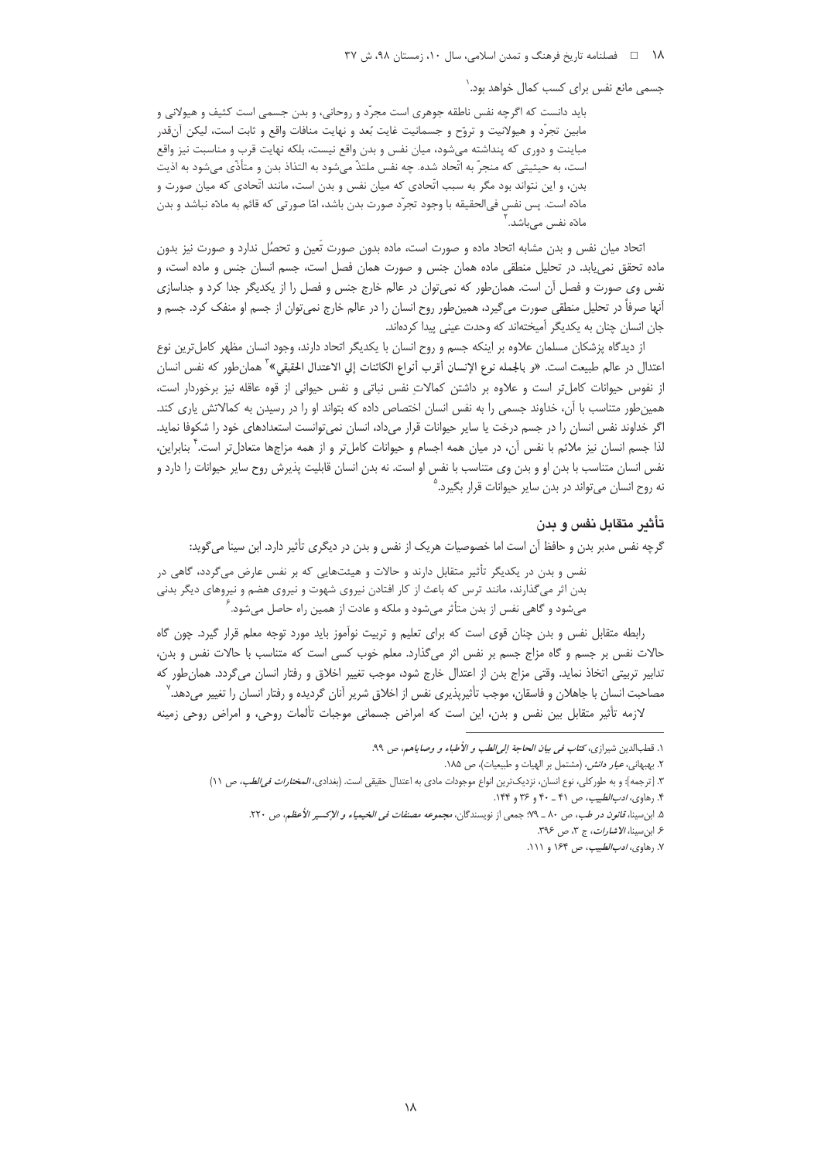١٨ ه المخامه تاريخ فرهنگ و تمدن اسلامي، سال ١٠، زمستان ٩٨، ش ٣٧

جسمی مانع نفس برای کسب کمال خواهد بود.<sup>\</sup>

باید دانست که اگرچه نفس ناطقه جوهری است مجرّد و روحانی، و بدن جسمی است کثیف و هیولانی و مابین تجرّد و هیولانیت و تروّح و جسمانیت غایت بُعد و نهایت منافات واقع و ثابت است، لیکن آنقدر مباینت و دوری که پنداشته میشود، میان نفس و بدن واقع نیست، بلکه نهایت قرب و مناسبت نیز واقع است، به حيثيتي كه منجرّ به اتّحاد شده. چه نفس ملتذّ ميشود به التذاذ بدن و متأذّى ميشود به اذيت بدن، و این نتواند بود مگر به سبب اتّحادی که میان نفس و بدن است، مانند اتّحادی که میان صورت و مادّه است. پس نفس في|لحقيقه با وجود تجرّد صورت بدن باشد، امّا صورتي كه قائم به مادّه نباشد و بدن ما<mark>دّہ نفس میباشد</mark>.

اتحاد میان نفس و بدن مشابه اتحاد ماده و صورت است، ماده بدون صورت تَعین و تحصُل ندارد و صورت نیز بدون ماده تحقق نمییابد. در تحلیل منطقی ماده همان جنس و صورت همان فصل است، جسم انسان جنس و ماده است، و نفس وی صورت و فصل آن است. همان طور که نمی توان در عالم خارج جنس و فصل را از یکدیگر جدا کرد و جداسازی آنها صرفاً در تحلیل منطقی صورت می£یرد، همینطور روح انسان را در عالم خارج نمی¤وان از جسم او منفک کرد. جسم و جان انسان چنان به یکدیگر آمیختهاند که وحدت عینی پیدا کردهاند.

از دیدگاه پزشکان مسلمان علاوه بر اینکه جسم و روح انسان با یکدیگر اتحاد دارند، وجود انسان مظهر کاملترین نوع اعتدال در عالم طبيعت است. «و بالجمله نوع الإنسان أقرب أنواع الكائنات إلي الاعتدال الحقيقي»<sup>؟</sup> همانٍطور كه نفس انسان از نفوس حیوانات کامل تر است و علاوه بر داشتن کمالات نفس نباتی و نفس حیوانی از قوه عاقله نیز برخوردار است، همین طور متناسب با آن، خداوند جسمی را به نفس انسان اختصاص داده که بتواند او را در رسیدن به کمالاتش پاری کند. اگر خداوند نفس انسان را در جسم درخت یا سایر حیوانات قرار میداد، انسان نمیتوانست استعدادهای خود را شکوفا نماید. لذا جسم انسان نیز ملائم با نفس آن، در میان همه اجسام و حیوانات کاملتر و از همه مزاجها متعادلتر است.<sup>۲</sup> بنابراین، نفس انسان متناسب با بدن او و بدن وی متناسب با نفس او است. نه بدن انسان قابلیت پذیرش روح سایر حیوانات را دارد و نه روح انسان مي¤واند در بدن ساير حيوانات قرار بگيرد.<sup>י</sup>

### تأثير متقابل نفس و بدن

گرچه نفس مدبر بدن و حافظ آن است اما خصوصیات هریک از نفس و بدن در دیگری تأثیر دارد. ابن سینا میگوید:

نفس و بدن در یکدیگر تأثیر متقابل دارند و حالات و هیئتهایی که بر نفس عارض می گردد، گاهی در بدن اثر میگذارند، مانند ترس که باعث از کار افتادن نیروی شهوت و نیروی هضم و نیروهای دیگر بدنی میشود و گاهی نفس از بدن متأثر میشود و ملکه و عادت از همین راه حاصل میشود. ٔ

رابطه متقابل نفس و بدن چنان قوی است که برای تعلیم و تربیت نوآموز باید مورد توجه معلم قرار گیرد. چون گاه حالات نفس بر جسم و گاه مزاج جسم بر نفس اثر میگذارد. معلم خوب کسی است که متناسب با حالات نفس و بدن، تدابیر تربیتی اتخاذ نماید. وقتی مزاج بدن از اعتدال خارج شود، موجب تغییر اخلاق و رفتار انسان می5ردد. همان طور که مصاحبت انسان با جاهلان و فاسقان، موجب تأثيرپذيري نفس از اخلاق شرير آنان گرديده و رفتار انسان را تغيير ميدهد. <sup>٧</sup>

لازمه تأثیر متقابل بین نفس و بدن، این است که امراض جسمانی موجبات تألمات روحی، و امراض روحی زمینه

۱. قطبالدین شیرازی، *کتاب فی بیان الحاجة إلی الطب و الأطباء و وصا*یاهم، ص ۹۹.

٢. بهبهاني، *عيار دانش*، (مشتمل بر الهيات و طبيعيات)، ص ١٨۵.

٣. [ترجمه]: و به طوركلي، نوع انسان، نزديكترين انواع موجودات مادي به اعتدال حقيقي است. (بغدادي، *المختارات في الطب، ص* ١١) ۴. رهاوي، *ادب الطبيب*، ص ۴۱ ـ ۴۰ و ۳۶ و ۱۴۴.

۵. ابن سينا، قانون در طب، ص ٨٠ \_ ٧٩: جمعي از نويسندگان، مجموعه مصنفا*ت في الخيمياء و الإكسير الأعظم*، ص ٢٢٠.

۶. ابن سينا، الاشارات، ج ٣، ص ٣٩۶.

۷. رهاوی، *ادب الطبیب*، ص ۱۶۴ و ۱۱۱.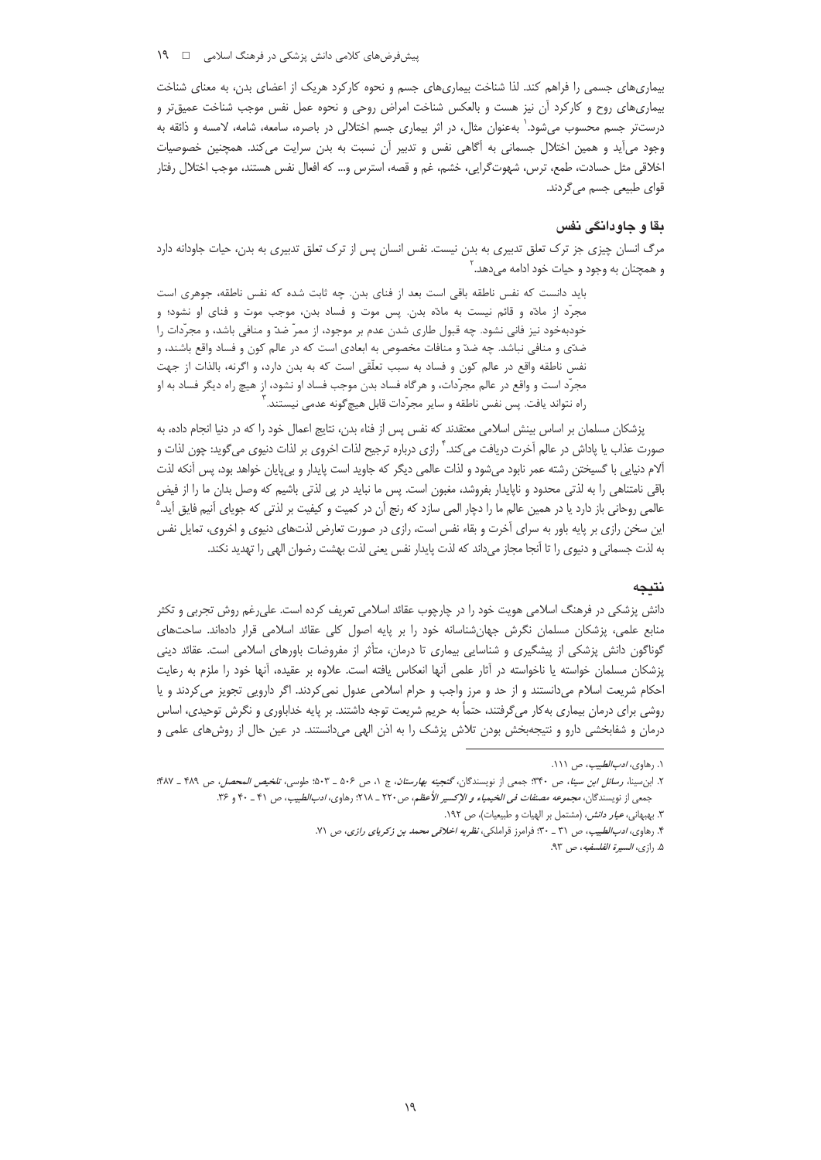بیماریهای جسمی را فراهم کند. لذا شناخت بیماریهای جسم و نحوه کارکرد هریک از اعضای بدن، به معنای شناخت بیماریهای روح و کارکرد آن نیز هست و بالعکس شناخت امراض روحی و نحوه عمل نفس موجب شناخت عمیقتر و درستتر جسم محسوب میشود.` بهعنوان مثال، در اثر بیماری جسم اختلالی در باصره، سامعه، شامه، لامسه و ذائقه به وجود میأید و همین اختلال جسمانی به أگاهی نفس و تدبیر أن نسبت به بدن سرایت میکند. همچنین خصوصیات اخلاقی مثل حسادت، طمع، ترس، شهوتگرایی، خشم، غم و قصه، استرس و… که افعال نفس هستند، موجب اختلال رفتار قوای طبیعی جسم میگردند.

### بقا و جاودانگی نفس

مرگ انسان چیزی جز ترک تعلق تدبیری به بدن نیست. نفس انسان پس از ترک تعلق تدبیری به بدن، حیات جاودانه دارد و همچنان به وجود و حیات خود ادامه میدهد.<sup>۲</sup>

باید دانست که نفس ناطقه باقی است بعد از فنای بدن. چه ثابت شده که نفس ناطقه، جوهری است مجرَّد از مادَّه و قائم نیست به مادَّه بدن. پس موت و فساد بدن، موجب موت و فنای او نشود؛ و خودبهخود نیز فانی نشود. چه قبول طاری شدن عدم بر موجود، از ممرّ ضدّ و منافی باشد، و مجرّدات را ضدّى و منافى نباشد. چه ضدّ و منافات مخصوص به ابعادى است كه در عالم كون و فساد واقع باشند، و نفس ناطقه واقع در عالم کون و فساد به سبب تعلُّقی است که به بدن دارد، و اگرنه، بالذات از جهت مجرّد است و واقع در عالم مجرّدات، و هرگاه فساد بدن موجب فساد او نشود، از هیچ راه دیگر فساد به او راه نتواند يافت. پس نفس ناطقه و ساير مجرّدات قابل هيچ گونه عدمي نيستند. ّ

پزشکان مسلمان بر اساس بینش اسلامی معتقدند که نفس پس از فناء بدن، نتایج اعمال خود را که در دنیا انجام داده، به صورت عذاب یا پاداش در عالم آخرت دریافت می *کند. <sup>۴</sup> رازی* درباره ترجیح لذات اخروی بر لذات دنیوی میگوید: چون لذات و آلام دنیایی با گسیختن رشته عمر نابود میشود و لذات عالمی دیگر که جاوید است پایدار و بیپایان خواهد بود، پس آنکه لذت باقی نامتناهی را به لذتی محدود و ناپایدار بفروشد، مغبون است. پس ما نباید در پی لذتی باشیم که وصل بدان ما را از فیض عالمي روحاني باز دارد يا در همين عالم ما را دچار المي سازد كه رنج آن در كميت و كيفيت بر لذتي كه جوياي آنيم فايق آيد." این سخن رازی بر پایه باور به سرای آخرت و بقاء نفس است، رازی در صورت تعارض لذتهای دنیوی و اخروی، تمایل نفس به لذت جسماني و دنيوي را تا آنجا مجاز ميداند كه لذت پايدار نفس يعني لذت بهشت رضوان الهي را تهديد نكند.

## نتىجە

دانش پزشکی در فرهنگ اسلامی هویت خود را در چارچوب عقائد اسلامی تعریف کرده است. علیرغم روش تجربی و تکثر منابع علمی، پزشکان مسلمان نگرش جهانشناسانه خود را بر پایه اصول کلی عقائد اسلامی قرار دادهاند. ساحتهای گوناگون دانش پزشکی از پیشگیری و شناسایی بیماری تا درمان، متأثر از مفروضات باورهای اسلامی است. عقائد دینی پزشکان مسلمان خواسته یا ناخواسته در آثار علمی آنها انعکاس یافته است. علاوه بر عقیده، آنها خود را ملزم به رعایت احکام شریعت اسلام میدانستند و از حد و مرز واجب و حرام اسلامی عدول نمیکردند. اگر دارویی تجویز میکردند و یا روشی برای درمان بیماری به کار میگرفتند، حتماً به حریم شریعت توجه داشتند. بر پایه خداباوری و نگرش توحیدی، اساس درمان و شفابخشی دارو و نتیجهبخش بودن تلاش پزشک را به اذن الهی میدانستند. در عین حال از روشهای علمی و

۰۱ رهاو*ی، ادب الطبیب،* ص ۱۱۱.

٢. ابن *سينا، رسائل ابن سينا، ص ١*٣٣٠. جمعي از نويسندگان، گنجين*ه بهارستان، ج* ١، ص ٥٠۶ \_ ٥٠٣: طوسي، *تلخيص المحصل، ص ١*٨٩. \_ ٩٨٧: جمعی از نویسندگان، *مجموعه مصنفات فی الخیمیاء و الإكسیر الأعظم*، ص٢٢٠ ـ ٢١٨: رهاوی، *ادب الطبیب*، ص ۴١ ـ ۴٠ و ٣۶. ۳. بهبهاني، *عيار دانش*، (مشتمل بر الهيات و طبيعيات)، ص ١٩٢.

۴. رهاوی، *ادبالطبیب*، ص ۳۱ ـ ۳۰؛ فرامرز قراملکی، *نظریه اخلاقی محمد بن زکریای رازی*، ص ۷۱.

۵. رازي، *السيرة الفلسفيه*، ص ۹۳.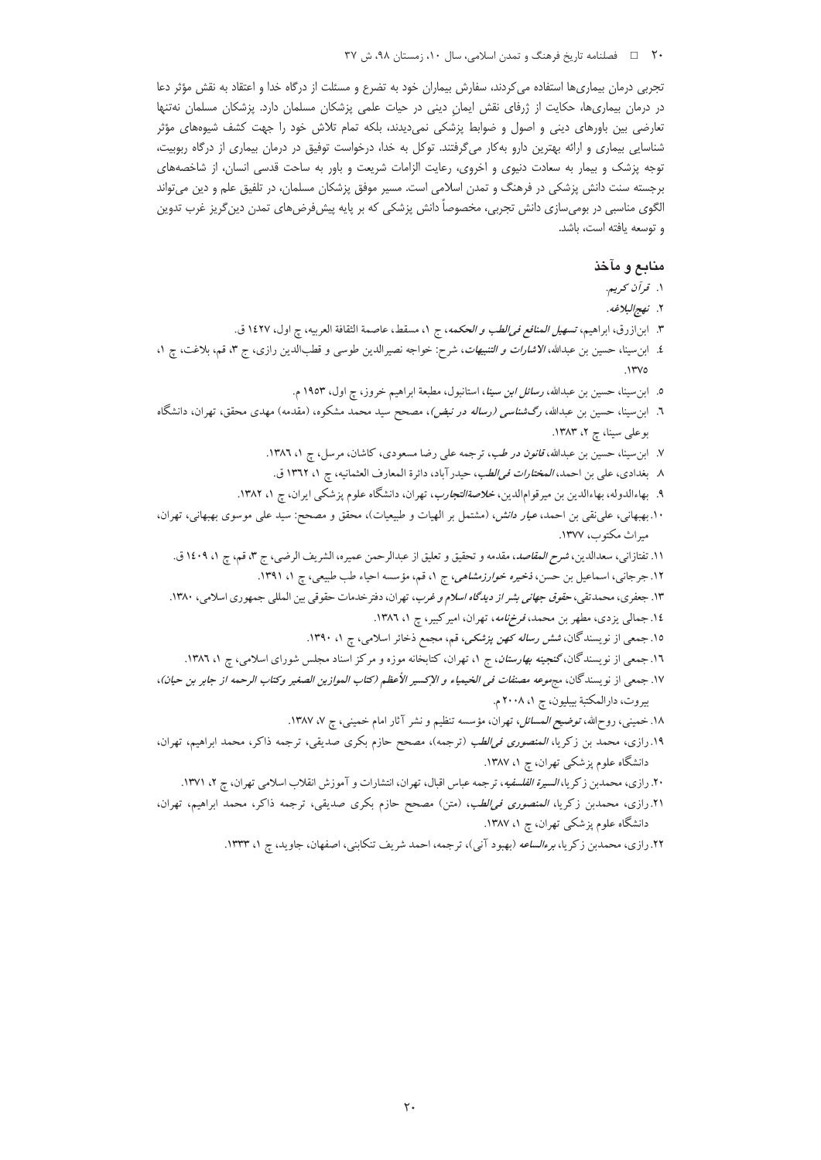### ٢٠ ه ه السلامي و عليه علي عليه عليه المعنى الله عن المعلم الله عليه ما ٢٧ ملي ٣٧، ش

تجربی درمان بیماریها استفاده می کردند، سفارش بیماران خود به تضرع و مسئلت از درگاه خدا و اعتقاد به نقش مؤثر دعا در درمان بیماریها، حکایت از ژرفای نقش ایمانِ دینی در حیات علمی پزشکان مسلمان دارد. پزشکان مسلمان نهتنها تعارضی بین باورهای دینی و اصول و ضوابط پزشکی نمیدیدند، بلکه تمام تلاش خود را جهت کشف شیوههای مؤثر شناسایی بیماری و ارائه بهترین دارو به کار میگرفتند. توکل به خدا، درخواست توفیق در درمان بیماری از درگاه ربوبیت، توجه پزشک و بیمار به سعادت دنیوی و اخروی، رعایت الزامات شریعت و باور به ساحت قدسی انسان، از شاخصههای برجسته سنت دانش پزشکی در فرهنگ و تمدن اسلامی است. مسیر موفق پزشکان مسلمان، در تلفیق علم و دین می¤واند الگوی مناسبی در بومیسازی دانش تجربی، مخصوصا دانش پزشکی که بر پایه پیشفرضهای تمدن دین گریز غرب تدوین و توسعه يافته است، باشد.

# منابع و مآخذ

- ۱. قرآن کریم.
- ٢. *نهج البلاغه*.
- ٣. ابن|زرق، ابراهيم، *تسهيل المنافع في الطب و الحكمه*، ج ١، مسقط، عاصمة الثقافة العربيه، چ اول، ١٤٢٧ ق.
- ٤. ابن سينا، حسين بن عبدالله، *الاشارات و التنبيهات*، شرح: خواجه نصيرالدين طوسى و قطبالدين رازى، ج ٣، قم، بلاغت، چ ١،  $N''V$ 
	- ٥. ابن سينا، حسين بن عبدالله، *رسائل ابن سينا*، استانبول، مطبعة ابراهيم خروز، چ اول، ١٩٥٣ م.
- ٦. ابن سینا، حسین بن عبدالله، *رگشناسی (رساله در نبض)*، مصحح سید محمد مشکوه، (مقدمه) مهدی محقق، تهران، دانشگاه بوعلی سینا، چ ٢، ١٣٨٣.
	- ٧. ابن سینا، حسین بن عبدالله، *قانون در طب*، ترجمه علی رضا مسعودی، کاشان، مرسل، چ ١، ١٣٨٦.
	- ٨ بغدادي، علي بن احمد، *المختارات في الطب*، حيدرآباد، دائرة المعارف العثمانيه، ج ١، ١٣٦٢ ق.
	- ۹. بهاءالدوله، بهاءالدین بن میرقوام|لدین، *خلاصةالتجارب*، تهران، دانشگاه علوم پزشک<sub>ی</sub> ایران، چ ۱، ۱۳۸۲.
- ۱۰.بهبهانی، علی نقی بن احمد، *عیار دانش، (مشتمل بر الهیات و طبیعیات)، محقق و مصحح: سید علی موسوی بهبهانی، تهران*، میراث مکتوب، ۱۳۷۷.
	- ١١. تفتازاني، سعدالدين، *شرح المقاصد*، مقدمه و تحقيق و تعليق از عبدالرحمن عميره، الشريف الرضي، ج ٣، قم، چ ١، ١٤٠٩ ق.
		- ۱۲. جرجانی، اسماعیل بن حسن، *ذخیره خوارزمشاهی، ج* ۱، قم، مؤسسه احیاء طب طبیعی، چ ۱، ۱۳۹۱.
	- ۱۳. جعفری، محمدتقی، *حقوق جهانی بشر از دیدگاه اسلام و غرب*، تهران، دفتر خدمات حقوقی بین المللی جمهوری اسلامی، ۱۳۸۰.
		- ١٤. جمالي يزدي، مطهر بن محمد، قرخ نامه، تهران، امير كبير، چ ١، ١٣٨٦.
		- ۱۵. جمعی از نویسندگان، *شش رساله کهن پزشکی،* قم، مجمع ذخائر اسلامی، چ ۱، ۱۳۹۰.
		- ۱۲. جمعی از نویسندگان،گنجین*ه بهارستان*، ج ۱، تهران، کتابخانه موزه و مرکز اسناد مجلس شورای اسلامی، چ ۱، ۱۳۸۲.
- ١٧. جمعي از نويسندگان، مجموعه مصنفات ف*ي الخيمياء و الإكسير الأعظم (كتاب الموازين الصغير وكتاب الرحمه از جابر بن حيان)*، بيروت، دارالمكتبة بيبليون، چ ٢٠٠٨ م.
	- ۱۸. خمینبی، روحالله، ت*وضیح المسائل*، تهران، مؤسسه تنظیم و نشر آثار امام خمینبی، چ ۷، ۱۳۸۷.
- ۱۹.رازی، محمد بن زکریا، *المنصوری فی الطب* (ترجمه)، مصحح حازم بکری صدیقی، ترجمه ذاکر، محمد ابراهیم، تهران، دانشگاه علوم پزشکی تهران، چ ۱، ۱۳۸۷.
	- ۲۰. رازی، محمدبن زکریا، *السیرة الفلسفیه*، ترجمه عباس اقبال، تهران، انتشارات و آموزش انقلاب اسلامی تهران، چ ۲، ۱۳۷۱.
- ۲۱.رازی، محمدبن زکریا، *المنصوری فی الطب*، (متن) مصحح حازم بکری صدیقی، ترجمه ذاکر، محمد ابراهیم، تهران، دانشگاه علوم پزشکی تهران، چ ۱، ۱۳۸۷.
	- ۲۲. رازی، محمدبن زکریا، *برءالساعه (بهب*ود آنی)، ترجمه، احمد شریف تنکابنی، اصفهان، جاوید، چ ۱، ۱۳۳۳.